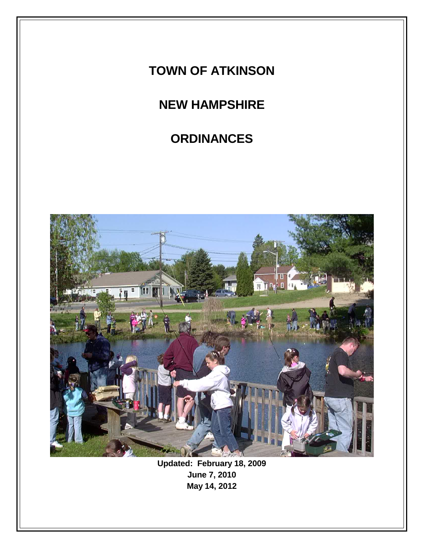# **TOWN OF ATKINSON**

# **NEW HAMPSHIRE**

# **ORDINANCES**



**Updated: February 18, 2009 June 7, 2010 May 14, 2012**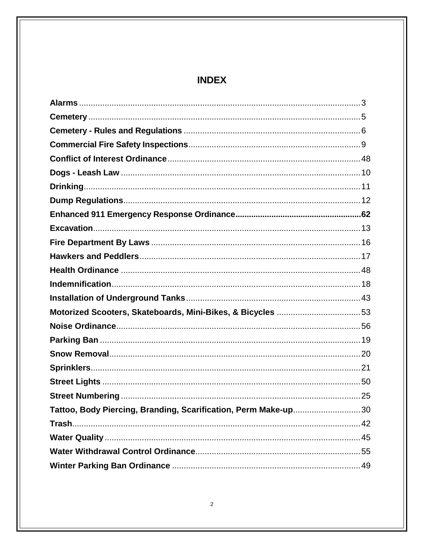# **INDEX**

| Motorized Scooters, Skateboards, Mini-Bikes, & Bicycles 53     |  |
|----------------------------------------------------------------|--|
|                                                                |  |
|                                                                |  |
|                                                                |  |
|                                                                |  |
|                                                                |  |
|                                                                |  |
| Tattoo, Body Piercing, Branding, Scarification, Perm Make-up30 |  |
|                                                                |  |
|                                                                |  |
|                                                                |  |
|                                                                |  |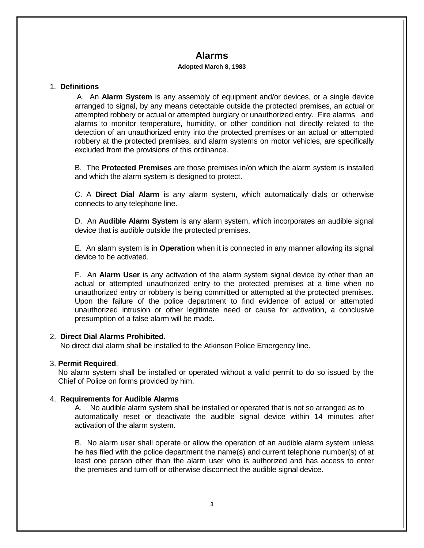# **Alarms**

#### **Adopted March 8, 1983**

#### 1. **Definitions**

A. An **Alarm System** is any assembly of equipment and/or devices, or a single device arranged to signal, by any means detectable outside the protected premises, an actual or attempted robbery or actual or attempted burglary or unauthorized entry. Fire alarms and alarms to monitor temperature, humidity, or other condition not directly related to the detection of an unauthorized entry into the protected premises or an actual or attempted robbery at the protected premises, and alarm systems on motor vehicles, are specifically excluded from the provisions of this ordinance.

B. The **Protected Premises** are those premises in/on which the alarm system is installed and which the alarm system is designed to protect.

C. A **Direct Dial Alarm** is any alarm system, which automatically dials or otherwise connects to any telephone line.

 D. An **Audible Alarm System** is any alarm system, which incorporates an audible signal device that is audible outside the protected premises.

 E. An alarm system is in **Operation** when it is connected in any manner allowing its signal device to be activated.

 F. An **Alarm User** is any activation of the alarm system signal device by other than an actual or attempted unauthorized entry to the protected premises at a time when no unauthorized entry or robbery is being committed or attempted at the protected premises. Upon the failure of the police department to find evidence of actual or attempted unauthorized intrusion or other legitimate need or cause for activation, a conclusive presumption of a false alarm will be made.

## 2. **Direct Dial Alarms Prohibited**.

No direct dial alarm shall be installed to the Atkinson Police Emergency line.

## 3. **Permit Required**.

 No alarm system shall be installed or operated without a valid permit to do so issued by the Chief of Police on forms provided by him.

## 4. **Requirements for Audible Alarms**

 A. No audible alarm system shall be installed or operated that is not so arranged as to automatically reset or deactivate the audible signal device within 14 minutes after activation of the alarm system.

B. No alarm user shall operate or allow the operation of an audible alarm system unless he has filed with the police department the name(s) and current telephone number(s) of at least one person other than the alarm user who is authorized and has access to enter the premises and turn off or otherwise disconnect the audible signal device.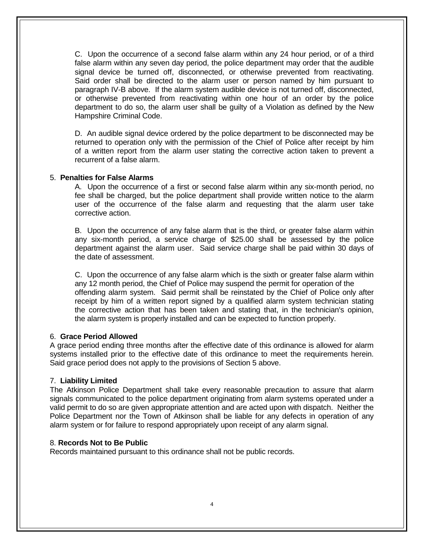C. Upon the occurrence of a second false alarm within any 24 hour period, or of a third false alarm within any seven day period, the police department may order that the audible signal device be turned off, disconnected, or otherwise prevented from reactivating. Said order shall be directed to the alarm user or person named by him pursuant to paragraph IV-B above. If the alarm system audible device is not turned off, disconnected, or otherwise prevented from reactivating within one hour of an order by the police department to do so, the alarm user shall be guilty of a Violation as defined by the New Hampshire Criminal Code.

 D. An audible signal device ordered by the police department to be disconnected may be returned to operation only with the permission of the Chief of Police after receipt by him of a written report from the alarm user stating the corrective action taken to prevent a recurrent of a false alarm.

#### 5. **Penalties for False Alarms**

A. Upon the occurrence of a first or second false alarm within any six-month period, no fee shall be charged, but the police department shall provide written notice to the alarm user of the occurrence of the false alarm and requesting that the alarm user take corrective action.

 B. Upon the occurrence of any false alarm that is the third, or greater false alarm within any six-month period, a service charge of \$25.00 shall be assessed by the police department against the alarm user. Said service charge shall be paid within 30 days of the date of assessment.

 C. Upon the occurrence of any false alarm which is the sixth or greater false alarm within any 12 month period, the Chief of Police may suspend the permit for operation of the offending alarm system. Said permit shall be reinstated by the Chief of Police only after receipt by him of a written report signed by a qualified alarm system technician stating the corrective action that has been taken and stating that, in the technician's opinion, the alarm system is properly installed and can be expected to function properly.

#### 6. **Grace Period Allowed**

A grace period ending three months after the effective date of this ordinance is allowed for alarm systems installed prior to the effective date of this ordinance to meet the requirements herein. Said grace period does not apply to the provisions of Section 5 above.

#### 7. **Liability Limited**

The Atkinson Police Department shall take every reasonable precaution to assure that alarm signals communicated to the police department originating from alarm systems operated under a valid permit to do so are given appropriate attention and are acted upon with dispatch. Neither the Police Department nor the Town of Atkinson shall be liable for any defects in operation of any alarm system or for failure to respond appropriately upon receipt of any alarm signal.

#### 8. **Records Not to Be Public**

Records maintained pursuant to this ordinance shall not be public records.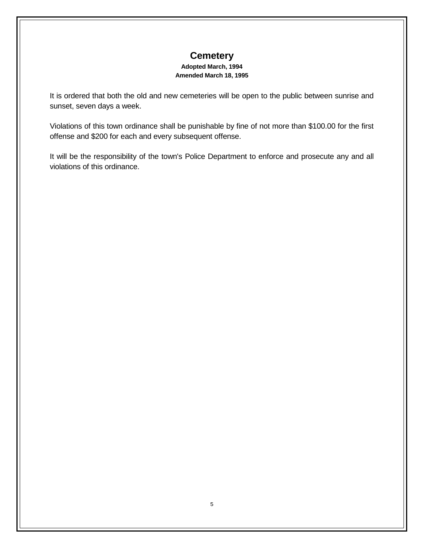# **Cemetery**

#### **Adopted March, 1994 Amended March 18, 1995**

It is ordered that both the old and new cemeteries will be open to the public between sunrise and sunset, seven days a week.

Violations of this town ordinance shall be punishable by fine of not more than \$100.00 for the first offense and \$200 for each and every subsequent offense.

It will be the responsibility of the town's Police Department to enforce and prosecute any and all violations of this ordinance.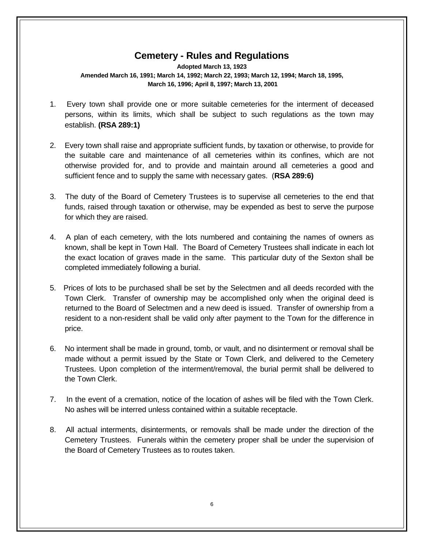# **Cemetery - Rules and Regulations**

**Adopted March 13, 1923 Amended March 16, 1991; March 14, 1992; March 22, 1993; March 12, 1994; March 18, 1995, March 16, 1996; April 8, 1997; March 13, 2001**

- 1. Every town shall provide one or more suitable cemeteries for the interment of deceased persons, within its limits, which shall be subject to such regulations as the town may establish. **(RSA 289:1)**
- 2. Every town shall raise and appropriate sufficient funds, by taxation or otherwise, to provide for the suitable care and maintenance of all cemeteries within its confines, which are not otherwise provided for, and to provide and maintain around all cemeteries a good and sufficient fence and to supply the same with necessary gates. (**RSA 289:6)**
- 3. The duty of the Board of Cemetery Trustees is to supervise all cemeteries to the end that funds, raised through taxation or otherwise, may be expended as best to serve the purpose for which they are raised.
- 4. A plan of each cemetery, with the lots numbered and containing the names of owners as known, shall be kept in Town Hall. The Board of Cemetery Trustees shall indicate in each lot the exact location of graves made in the same. This particular duty of the Sexton shall be completed immediately following a burial.
- 5. Prices of lots to be purchased shall be set by the Selectmen and all deeds recorded with the Town Clerk. Transfer of ownership may be accomplished only when the original deed is returned to the Board of Selectmen and a new deed is issued. Transfer of ownership from a resident to a non-resident shall be valid only after payment to the Town for the difference in price.
- 6. No interment shall be made in ground, tomb, or vault, and no disinterment or removal shall be made without a permit issued by the State or Town Clerk, and delivered to the Cemetery Trustees. Upon completion of the interment/removal, the burial permit shall be delivered to the Town Clerk.
- 7. In the event of a cremation, notice of the location of ashes will be filed with the Town Clerk. No ashes will be interred unless contained within a suitable receptacle.
- 8. All actual interments, disinterments, or removals shall be made under the direction of the Cemetery Trustees. Funerals within the cemetery proper shall be under the supervision of the Board of Cemetery Trustees as to routes taken.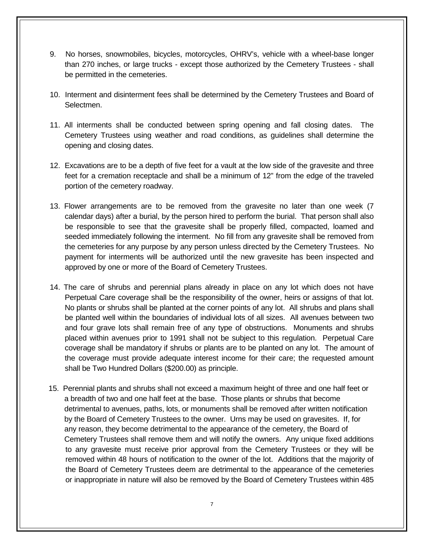- 9. No horses, snowmobiles, bicycles, motorcycles, OHRV's, vehicle with a wheel-base longer than 270 inches, or large trucks - except those authorized by the Cemetery Trustees - shall be permitted in the cemeteries.
- 10. Interment and disinterment fees shall be determined by the Cemetery Trustees and Board of Selectmen.
- 11. All interments shall be conducted between spring opening and fall closing dates. The Cemetery Trustees using weather and road conditions, as guidelines shall determine the opening and closing dates.
- 12. Excavations are to be a depth of five feet for a vault at the low side of the gravesite and three feet for a cremation receptacle and shall be a minimum of 12" from the edge of the traveled portion of the cemetery roadway.
- 13. Flower arrangements are to be removed from the gravesite no later than one week (7 calendar days) after a burial, by the person hired to perform the burial. That person shall also be responsible to see that the gravesite shall be properly filled, compacted, loamed and seeded immediately following the interment. No fill from any gravesite shall be removed from the cemeteries for any purpose by any person unless directed by the Cemetery Trustees. No payment for interments will be authorized until the new gravesite has been inspected and approved by one or more of the Board of Cemetery Trustees.
- 14. The care of shrubs and perennial plans already in place on any lot which does not have Perpetual Care coverage shall be the responsibility of the owner, heirs or assigns of that lot. No plants or shrubs shall be planted at the corner points of any lot. All shrubs and plans shall be planted well within the boundaries of individual lots of all sizes. All avenues between two and four grave lots shall remain free of any type of obstructions. Monuments and shrubs placed within avenues prior to 1991 shall not be subject to this regulation. Perpetual Care coverage shall be mandatory if shrubs or plants are to be planted on any lot. The amount of the coverage must provide adequate interest income for their care; the requested amount shall be Two Hundred Dollars (\$200.00) as principle.
- 15. Perennial plants and shrubs shall not exceed a maximum height of three and one half feet or a breadth of two and one half feet at the base. Those plants or shrubs that become detrimental to avenues, paths, lots, or monuments shall be removed after written notification by the Board of Cemetery Trustees to the owner. Urns may be used on gravesites. If, for any reason, they become detrimental to the appearance of the cemetery, the Board of Cemetery Trustees shall remove them and will notify the owners. Any unique fixed additions to any gravesite must receive prior approval from the Cemetery Trustees or they will be removed within 48 hours of notification to the owner of the lot. Additions that the majority of the Board of Cemetery Trustees deem are detrimental to the appearance of the cemeteries or inappropriate in nature will also be removed by the Board of Cemetery Trustees within 485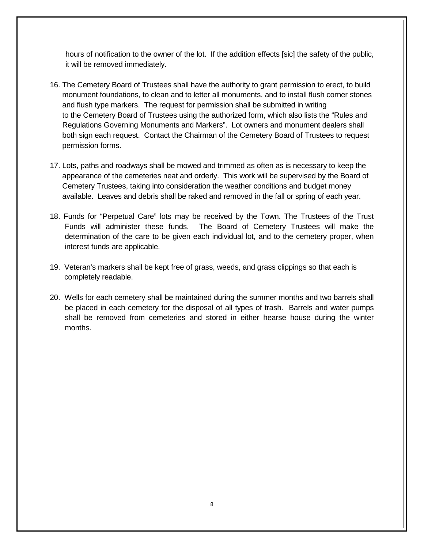hours of notification to the owner of the lot. If the addition effects [sic] the safety of the public, it will be removed immediately.

- 16. The Cemetery Board of Trustees shall have the authority to grant permission to erect, to build monument foundations, to clean and to letter all monuments, and to install flush corner stones and flush type markers. The request for permission shall be submitted in writing to the Cemetery Board of Trustees using the authorized form, which also lists the "Rules and Regulations Governing Monuments and Markers". Lot owners and monument dealers shall both sign each request. Contact the Chairman of the Cemetery Board of Trustees to request permission forms.
- 17. Lots, paths and roadways shall be mowed and trimmed as often as is necessary to keep the appearance of the cemeteries neat and orderly. This work will be supervised by the Board of Cemetery Trustees, taking into consideration the weather conditions and budget money available. Leaves and debris shall be raked and removed in the fall or spring of each year.
- 18. Funds for "Perpetual Care" lots may be received by the Town. The Trustees of the Trust Funds will administer these funds. The Board of Cemetery Trustees will make the determination of the care to be given each individual lot, and to the cemetery proper, when interest funds are applicable.
- 19. Veteran's markers shall be kept free of grass, weeds, and grass clippings so that each is completely readable.
- 20. Wells for each cemetery shall be maintained during the summer months and two barrels shall be placed in each cemetery for the disposal of all types of trash. Barrels and water pumps shall be removed from cemeteries and stored in either hearse house during the winter months.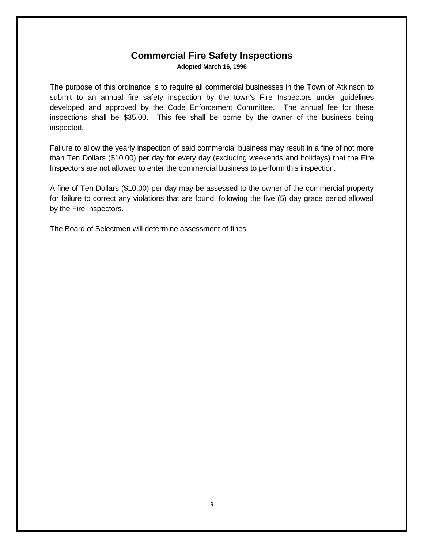## **Commercial Fire Safety Inspections Adopted March 16, 1996**

The purpose of this ordinance is to require all commercial businesses in the Town of Atkinson to submit to an annual fire safety inspection by the town's Fire Inspectors under guidelines developed and approved by the Code Enforcement Committee. The annual fee for these inspections shall be \$35.00. This fee shall be borne by the owner of the business being inspected.

Failure to allow the yearly inspection of said commercial business may result in a fine of not more than Ten Dollars (\$10.00) per day for every day (excluding weekends and holidays) that the Fire Inspectors are not allowed to enter the commercial business to perform this inspection.

A fine of Ten Dollars (\$10.00) per day may be assessed to the owner of the commercial property for failure to correct any violations that are found, following the five (5) day grace period allowed by the Fire Inspectors.

The Board of Selectmen will determine assessment of fines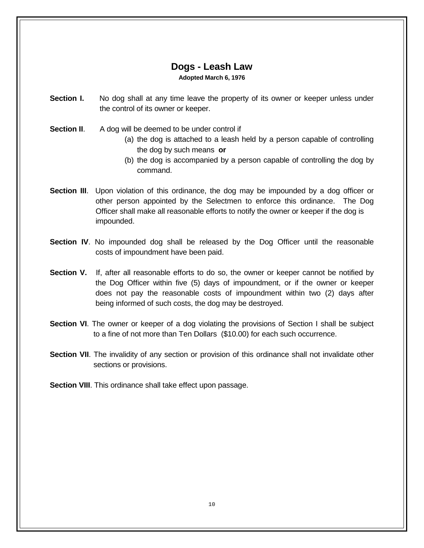## **Dogs - Leash Law**

**Adopted March 6, 1976**

- **Section I.** No dog shall at any time leave the property of its owner or keeper unless under the control of its owner or keeper.
- **Section II.** A dog will be deemed to be under control if
	- (a) the dog is attached to a leash held by a person capable of controlling the dog by such means **or**
	- (b) the dog is accompanied by a person capable of controlling the dog by command.
- **Section III.** Upon violation of this ordinance, the dog may be impounded by a dog officer or other person appointed by the Selectmen to enforce this ordinance. The Dog Officer shall make all reasonable efforts to notify the owner or keeper if the dog is impounded.
- **Section IV**. No impounded dog shall be released by the Dog Officer until the reasonable costs of impoundment have been paid.
- **Section V.** If, after all reasonable efforts to do so, the owner or keeper cannot be notified by the Dog Officer within five (5) days of impoundment, or if the owner or keeper does not pay the reasonable costs of impoundment within two (2) days after being informed of such costs, the dog may be destroyed.
- **Section VI.** The owner or keeper of a dog violating the provisions of Section I shall be subject to a fine of not more than Ten Dollars (\$10.00) for each such occurrence.
- **Section VII.** The invalidity of any section or provision of this ordinance shall not invalidate other sections or provisions.

**Section VIII**. This ordinance shall take effect upon passage.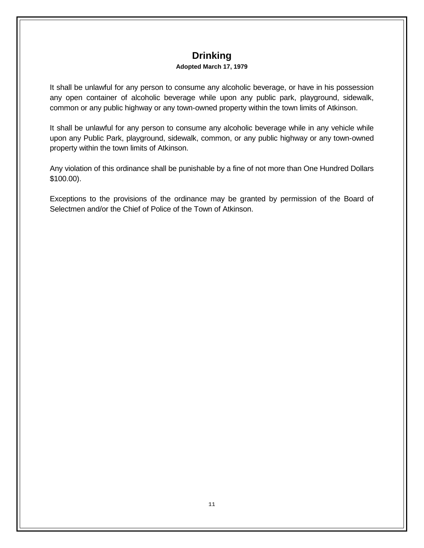# **Drinking**

## **Adopted March 17, 1979**

It shall be unlawful for any person to consume any alcoholic beverage, or have in his possession any open container of alcoholic beverage while upon any public park, playground, sidewalk, common or any public highway or any town-owned property within the town limits of Atkinson.

It shall be unlawful for any person to consume any alcoholic beverage while in any vehicle while upon any Public Park, playground, sidewalk, common, or any public highway or any town-owned property within the town limits of Atkinson.

Any violation of this ordinance shall be punishable by a fine of not more than One Hundred Dollars \$100.00).

Exceptions to the provisions of the ordinance may be granted by permission of the Board of Selectmen and/or the Chief of Police of the Town of Atkinson.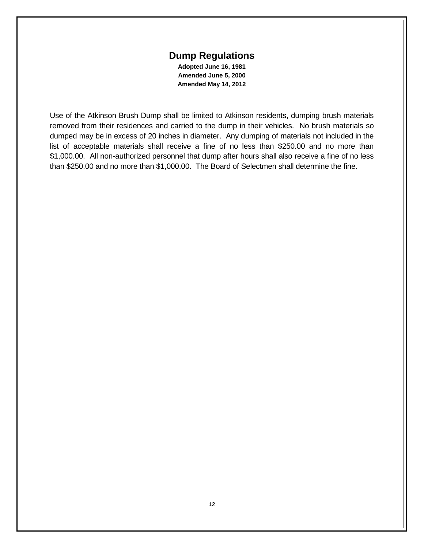## **Dump Regulations**

**Adopted June 16, 1981 Amended June 5, 2000 Amended May 14, 2012**

Use of the Atkinson Brush Dump shall be limited to Atkinson residents, dumping brush materials removed from their residences and carried to the dump in their vehicles. No brush materials so dumped may be in excess of 20 inches in diameter. Any dumping of materials not included in the list of acceptable materials shall receive a fine of no less than \$250.00 and no more than \$1,000.00. All non-authorized personnel that dump after hours shall also receive a fine of no less than \$250.00 and no more than \$1,000.00. The Board of Selectmen shall determine the fine.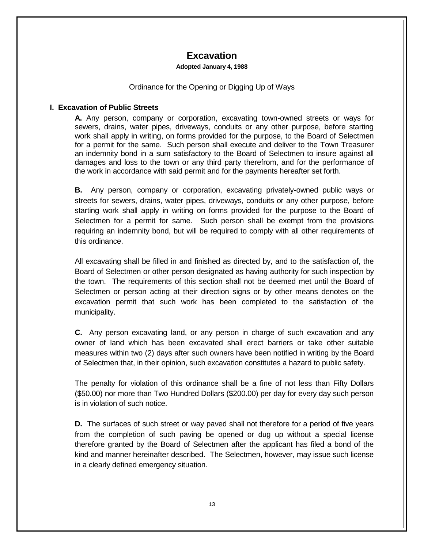# **Excavation**

#### **Adopted January 4, 1988**

## Ordinance for the Opening or Digging Up of Ways

## **I. Excavation of Public Streets**

 **A.** Any person, company or corporation, excavating town-owned streets or ways for sewers, drains, water pipes, driveways, conduits or any other purpose, before starting work shall apply in writing, on forms provided for the purpose, to the Board of Selectmen for a permit for the same. Such person shall execute and deliver to the Town Treasurer an indemnity bond in a sum satisfactory to the Board of Selectmen to insure against all damages and loss to the town or any third party therefrom, and for the performance of the work in accordance with said permit and for the payments hereafter set forth.

**B.** Any person, company or corporation, excavating privately-owned public ways or streets for sewers, drains, water pipes, driveways, conduits or any other purpose, before starting work shall apply in writing on forms provided for the purpose to the Board of Selectmen for a permit for same. Such person shall be exempt from the provisions requiring an indemnity bond, but will be required to comply with all other requirements of this ordinance.

All excavating shall be filled in and finished as directed by, and to the satisfaction of, the Board of Selectmen or other person designated as having authority for such inspection by the town. The requirements of this section shall not be deemed met until the Board of Selectmen or person acting at their direction signs or by other means denotes on the excavation permit that such work has been completed to the satisfaction of the municipality.

**C.** Any person excavating land, or any person in charge of such excavation and any owner of land which has been excavated shall erect barriers or take other suitable measures within two (2) days after such owners have been notified in writing by the Board of Selectmen that, in their opinion, such excavation constitutes a hazard to public safety.

The penalty for violation of this ordinance shall be a fine of not less than Fifty Dollars (\$50.00) nor more than Two Hundred Dollars (\$200.00) per day for every day such person is in violation of such notice.

**D.** The surfaces of such street or way paved shall not therefore for a period of five years from the completion of such paving be opened or dug up without a special license therefore granted by the Board of Selectmen after the applicant has filed a bond of the kind and manner hereinafter described. The Selectmen, however, may issue such license in a clearly defined emergency situation.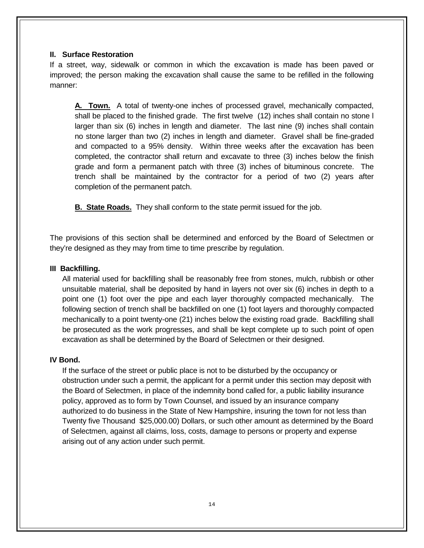## **II. Surface Restoration**

If a street, way, sidewalk or common in which the excavation is made has been paved or improved; the person making the excavation shall cause the same to be refilled in the following manner:

**A. Town.** A total of twenty-one inches of processed gravel, mechanically compacted, shall be placed to the finished grade. The first twelve (12) inches shall contain no stone l larger than six (6) inches in length and diameter. The last nine (9) inches shall contain no stone larger than two (2) inches in length and diameter. Gravel shall be fine-graded and compacted to a 95% density. Within three weeks after the excavation has been completed, the contractor shall return and excavate to three (3) inches below the finish grade and form a permanent patch with three (3) inches of bituminous concrete. The trench shall be maintained by the contractor for a period of two (2) years after completion of the permanent patch.

 **B. State Roads.** They shall conform to the state permit issued for the job.

The provisions of this section shall be determined and enforced by the Board of Selectmen or they're designed as they may from time to time prescribe by regulation.

## **III Backfilling.**

All material used for backfilling shall be reasonably free from stones, mulch, rubbish or other unsuitable material, shall be deposited by hand in layers not over six (6) inches in depth to a point one (1) foot over the pipe and each layer thoroughly compacted mechanically. The following section of trench shall be backfilled on one (1) foot layers and thoroughly compacted mechanically to a point twenty-one (21) inches below the existing road grade. Backfilling shall be prosecuted as the work progresses, and shall be kept complete up to such point of open excavation as shall be determined by the Board of Selectmen or their designed.

## **IV Bond.**

If the surface of the street or public place is not to be disturbed by the occupancy or obstruction under such a permit, the applicant for a permit under this section may deposit with the Board of Selectmen, in place of the indemnity bond called for, a public liability insurance policy, approved as to form by Town Counsel, and issued by an insurance company authorized to do business in the State of New Hampshire, insuring the town for not less than Twenty five Thousand \$25,000.00) Dollars, or such other amount as determined by the Board of Selectmen, against all claims, loss, costs, damage to persons or property and expense arising out of any action under such permit.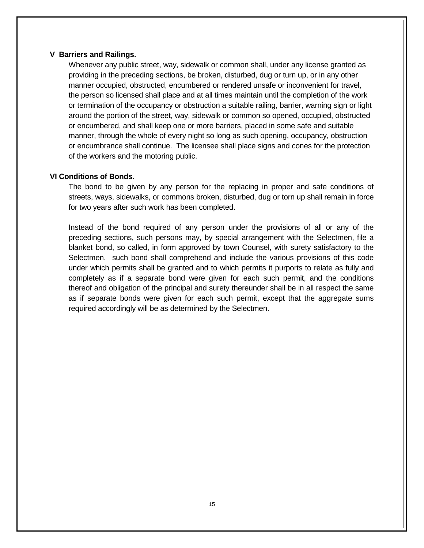#### **V Barriers and Railings.**

Whenever any public street, way, sidewalk or common shall, under any license granted as providing in the preceding sections, be broken, disturbed, dug or turn up, or in any other manner occupied, obstructed, encumbered or rendered unsafe or inconvenient for travel, the person so licensed shall place and at all times maintain until the completion of the work or termination of the occupancy or obstruction a suitable railing, barrier, warning sign or light around the portion of the street, way, sidewalk or common so opened, occupied, obstructed or encumbered, and shall keep one or more barriers, placed in some safe and suitable manner, through the whole of every night so long as such opening, occupancy, obstruction or encumbrance shall continue. The licensee shall place signs and cones for the protection of the workers and the motoring public.

## **VI Conditions of Bonds.**

The bond to be given by any person for the replacing in proper and safe conditions of streets, ways, sidewalks, or commons broken, disturbed, dug or torn up shall remain in force for two years after such work has been completed.

Instead of the bond required of any person under the provisions of all or any of the preceding sections, such persons may, by special arrangement with the Selectmen, file a blanket bond, so called, in form approved by town Counsel, with surety satisfactory to the Selectmen. such bond shall comprehend and include the various provisions of this code under which permits shall be granted and to which permits it purports to relate as fully and completely as if a separate bond were given for each such permit, and the conditions thereof and obligation of the principal and surety thereunder shall be in all respect the same as if separate bonds were given for each such permit, except that the aggregate sums required accordingly will be as determined by the Selectmen.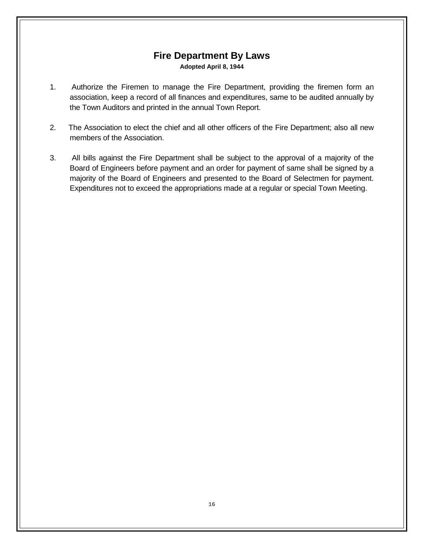# **Fire Department By Laws Adopted April 8, 1944**

- 1. Authorize the Firemen to manage the Fire Department, providing the firemen form an association, keep a record of all finances and expenditures, same to be audited annually by the Town Auditors and printed in the annual Town Report.
- 2. The Association to elect the chief and all other officers of the Fire Department; also all new members of the Association.
- 3. All bills against the Fire Department shall be subject to the approval of a majority of the Board of Engineers before payment and an order for payment of same shall be signed by a majority of the Board of Engineers and presented to the Board of Selectmen for payment. Expenditures not to exceed the appropriations made at a regular or special Town Meeting.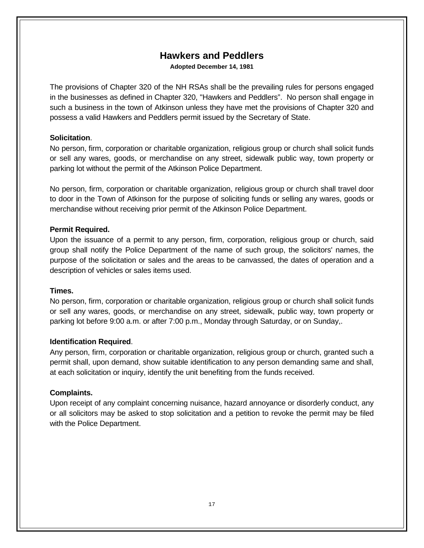# **Hawkers and Peddlers**

**Adopted December 14, 1981**

The provisions of Chapter 320 of the NH RSAs shall be the prevailing rules for persons engaged in the businesses as defined in Chapter 320, "Hawkers and Peddlers". No person shall engage in such a business in the town of Atkinson unless they have met the provisions of Chapter 320 and possess a valid Hawkers and Peddlers permit issued by the Secretary of State.

## **Solicitation**.

No person, firm, corporation or charitable organization, religious group or church shall solicit funds or sell any wares, goods, or merchandise on any street, sidewalk public way, town property or parking lot without the permit of the Atkinson Police Department.

No person, firm, corporation or charitable organization, religious group or church shall travel door to door in the Town of Atkinson for the purpose of soliciting funds or selling any wares, goods or merchandise without receiving prior permit of the Atkinson Police Department.

## **Permit Required.**

Upon the issuance of a permit to any person, firm, corporation, religious group or church, said group shall notify the Police Department of the name of such group, the solicitors' names, the purpose of the solicitation or sales and the areas to be canvassed, the dates of operation and a description of vehicles or sales items used.

## **Times.**

No person, firm, corporation or charitable organization, religious group or church shall solicit funds or sell any wares, goods, or merchandise on any street, sidewalk, public way, town property or parking lot before 9:00 a.m. or after 7:00 p.m., Monday through Saturday, or on Sunday,.

## **Identification Required**.

Any person, firm, corporation or charitable organization, religious group or church, granted such a permit shall, upon demand, show suitable identification to any person demanding same and shall, at each solicitation or inquiry, identify the unit benefiting from the funds received.

## **Complaints.**

Upon receipt of any complaint concerning nuisance, hazard annoyance or disorderly conduct, any or all solicitors may be asked to stop solicitation and a petition to revoke the permit may be filed with the Police Department.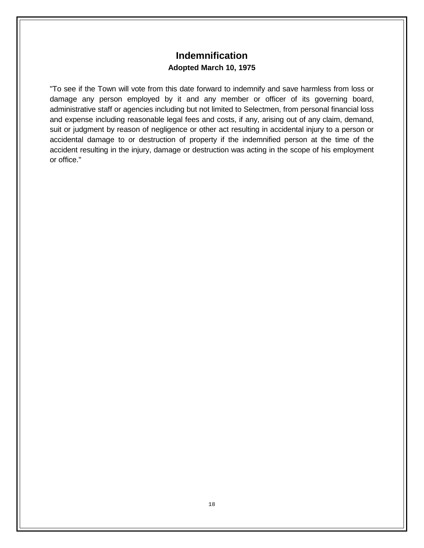# **Indemnification Adopted March 10, 1975**

"To see if the Town will vote from this date forward to indemnify and save harmless from loss or damage any person employed by it and any member or officer of its governing board, administrative staff or agencies including but not limited to Selectmen, from personal financial loss and expense including reasonable legal fees and costs, if any, arising out of any claim, demand, suit or judgment by reason of negligence or other act resulting in accidental injury to a person or accidental damage to or destruction of property if the indemnified person at the time of the accident resulting in the injury, damage or destruction was acting in the scope of his employment or office."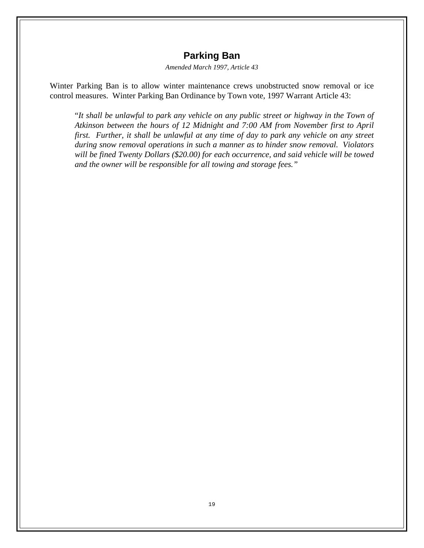# **Parking Ban**

*Amended March 1997, Article 43*

Winter Parking Ban is to allow winter maintenance crews unobstructed snow removal or ice control measures. Winter Parking Ban Ordinance by Town vote, 1997 Warrant Article 43:

"*It shall be unlawful to park any vehicle on any public street or highway in the Town of Atkinson between the hours of 12 Midnight and 7:00 AM from November first to April first. Further, it shall be unlawful at any time of day to park any vehicle on any street during snow removal operations in such a manner as to hinder snow removal. Violators will be fined Twenty Dollars (\$20.00) for each occurrence, and said vehicle will be towed and the owner will be responsible for all towing and storage fees."*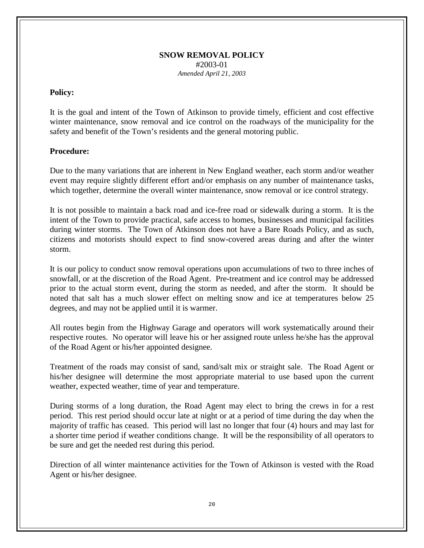## **SNOW REMOVAL POLICY** #2003-01 *Amended April 21, 2003*

## **Policy:**

It is the goal and intent of the Town of Atkinson to provide timely, efficient and cost effective winter maintenance, snow removal and ice control on the roadways of the municipality for the safety and benefit of the Town's residents and the general motoring public.

## **Procedure:**

Due to the many variations that are inherent in New England weather, each storm and/or weather event may require slightly different effort and/or emphasis on any number of maintenance tasks, which together, determine the overall winter maintenance, snow removal or ice control strategy.

It is not possible to maintain a back road and ice-free road or sidewalk during a storm. It is the intent of the Town to provide practical, safe access to homes, businesses and municipal facilities during winter storms. The Town of Atkinson does not have a Bare Roads Policy, and as such, citizens and motorists should expect to find snow-covered areas during and after the winter storm.

It is our policy to conduct snow removal operations upon accumulations of two to three inches of snowfall, or at the discretion of the Road Agent. Pre-treatment and ice control may be addressed prior to the actual storm event, during the storm as needed, and after the storm. It should be noted that salt has a much slower effect on melting snow and ice at temperatures below 25 degrees, and may not be applied until it is warmer.

All routes begin from the Highway Garage and operators will work systematically around their respective routes. No operator will leave his or her assigned route unless he/she has the approval of the Road Agent or his/her appointed designee.

Treatment of the roads may consist of sand, sand/salt mix or straight sale. The Road Agent or his/her designee will determine the most appropriate material to use based upon the current weather, expected weather, time of year and temperature.

During storms of a long duration, the Road Agent may elect to bring the crews in for a rest period. This rest period should occur late at night or at a period of time during the day when the majority of traffic has ceased. This period will last no longer that four (4) hours and may last for a shorter time period if weather conditions change. It will be the responsibility of all operators to be sure and get the needed rest during this period.

Direction of all winter maintenance activities for the Town of Atkinson is vested with the Road Agent or his/her designee.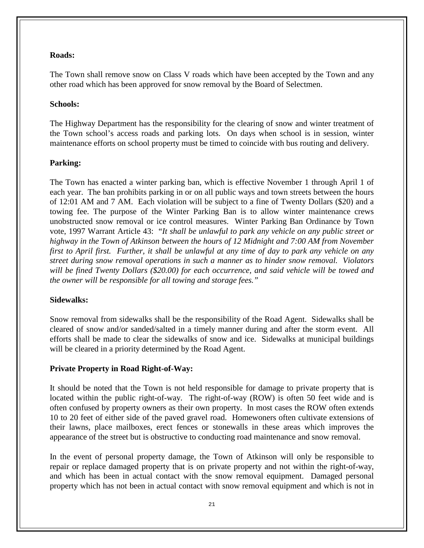## **Roads:**

The Town shall remove snow on Class V roads which have been accepted by the Town and any other road which has been approved for snow removal by the Board of Selectmen.

## **Schools:**

The Highway Department has the responsibility for the clearing of snow and winter treatment of the Town school's access roads and parking lots. On days when school is in session, winter maintenance efforts on school property must be timed to coincide with bus routing and delivery.

## **Parking:**

The Town has enacted a winter parking ban, which is effective November 1 through April 1 of each year. The ban prohibits parking in or on all public ways and town streets between the hours of 12:01 AM and 7 AM. Each violation will be subject to a fine of Twenty Dollars (\$20) and a towing fee. The purpose of the Winter Parking Ban is to allow winter maintenance crews unobstructed snow removal or ice control measures. Winter Parking Ban Ordinance by Town vote, 1997 Warrant Article 43: "*It shall be unlawful to park any vehicle on any public street or highway in the Town of Atkinson between the hours of 12 Midnight and 7:00 AM from November first to April first. Further, it shall be unlawful at any time of day to park any vehicle on any street during snow removal operations in such a manner as to hinder snow removal. Violators will be fined Twenty Dollars (\$20.00) for each occurrence, and said vehicle will be towed and the owner will be responsible for all towing and storage fees."*

## **Sidewalks:**

Snow removal from sidewalks shall be the responsibility of the Road Agent. Sidewalks shall be cleared of snow and/or sanded/salted in a timely manner during and after the storm event. All efforts shall be made to clear the sidewalks of snow and ice. Sidewalks at municipal buildings will be cleared in a priority determined by the Road Agent.

## **Private Property in Road Right-of-Way:**

It should be noted that the Town is not held responsible for damage to private property that is located within the public right-of-way. The right-of-way (ROW) is often 50 feet wide and is often confused by property owners as their own property. In most cases the ROW often extends 10 to 20 feet of either side of the paved gravel road. Homewoners often cultivate extensions of their lawns, place mailboxes, erect fences or stonewalls in these areas which improves the appearance of the street but is obstructive to conducting road maintenance and snow removal.

In the event of personal property damage, the Town of Atkinson will only be responsible to repair or replace damaged property that is on private property and not within the right-of-way, and which has been in actual contact with the snow removal equipment. Damaged personal property which has not been in actual contact with snow removal equipment and which is not in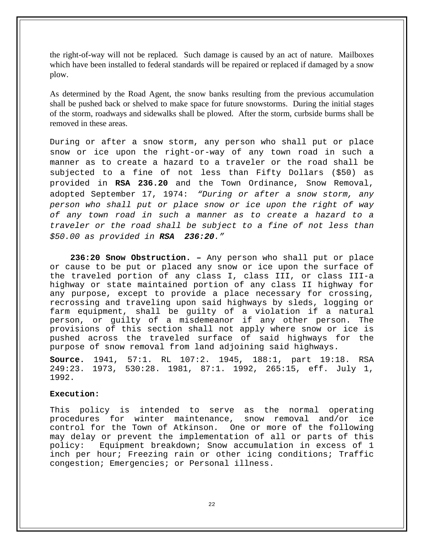the right-of-way will not be replaced. Such damage is caused by an act of nature. Mailboxes which have been installed to federal standards will be repaired or replaced if damaged by a snow plow.

As determined by the Road Agent, the snow banks resulting from the previous accumulation shall be pushed back or shelved to make space for future snowstorms. During the initial stages of the storm, roadways and sidewalks shall be plowed. After the storm, curbside burms shall be removed in these areas.

During or after a snow storm, any person who shall put or place snow or ice upon the right-or-way of any town road in such a manner as to create a hazard to a traveler or the road shall be subjected to a fine of not less than Fifty Dollars (\$50) as provided in **RSA 236.20** and the Town Ordinance, Snow Removal, adopted September 17, 1974: *"During or after a snow storm, any person who shall put or place snow or ice upon the right of way of any town road in such a manner as to create a hazard to a traveler or the road shall be subject to a fine of not less than \$50.00 as provided in RSA 236:20."*

 **236:20 Snow Obstruction. –** Any person who shall put or place or cause to be put or placed any snow or ice upon the surface of the traveled portion of any class I, class III, or class III-a highway or state maintained portion of any class II highway for any purpose, except to provide a place necessary for crossing, recrossing and traveling upon said highways by sleds, logging or farm equipment, shall be guilty of a violation if a natural person, or guilty of a misdemeanor if any other person. The provisions of this section shall not apply where snow or ice is pushed across the traveled surface of said highways for the purpose of snow removal from land adjoining said highways.

**Source.** 1941, 57:1. RL 107:2. 1945, 188:1, part 19:18. RSA 249:23. 1973, 530:28. 1981, 87:1. 1992, 265:15, eff. July 1, 1992.

#### **Execution:**

This policy is intended to serve as the normal operating<br>procedures for winter maintenance, snow removal and/or ice procedures for winter maintenance, snow removal and/or ice<br>control for the Town of Atkinson. One or more of the following control for the Town of Atkinson. may delay or prevent the implementation of all or parts of this<br>policy: Equipment breakdown; Snow accumulation in excess of 1 Equipment breakdown; Snow accumulation in excess of 1 inch per hour; Freezing rain or other icing conditions; Traffic congestion; Emergencies; or Personal illness.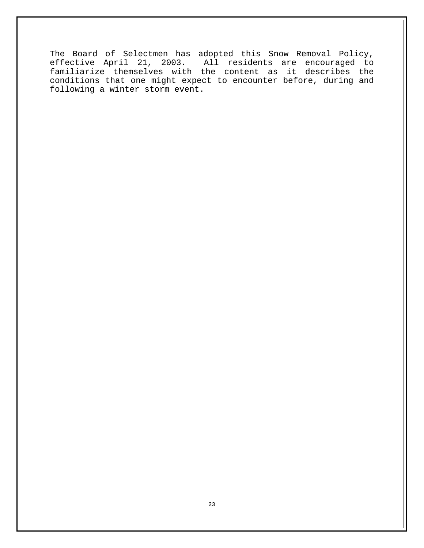The Board of Selectmen has adopted this Snow Removal Policy, effective April 21, 2003. All residents are encouraged to familiarize themselves with the content as it describes the conditions that one might expect to encounter before, during and following a winter storm event.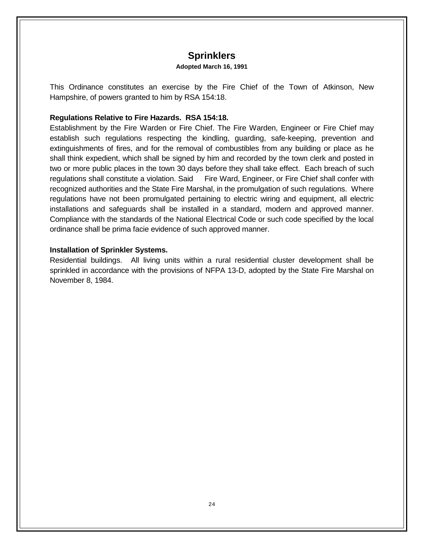# **Sprinklers**

#### **Adopted March 16, 1991**

This Ordinance constitutes an exercise by the Fire Chief of the Town of Atkinson, New Hampshire, of powers granted to him by RSA 154:18.

## **Regulations Relative to Fire Hazards. RSA 154:18.**

Establishment by the Fire Warden or Fire Chief. The Fire Warden, Engineer or Fire Chief may establish such regulations respecting the kindling, guarding, safe-keeping, prevention and extinguishments of fires, and for the removal of combustibles from any building or place as he shall think expedient, which shall be signed by him and recorded by the town clerk and posted in two or more public places in the town 30 days before they shall take effect. Each breach of such regulations shall constitute a violation. Said Fire Ward, Engineer, or Fire Chief shall confer with recognized authorities and the State Fire Marshal, in the promulgation of such regulations. Where regulations have not been promulgated pertaining to electric wiring and equipment, all electric installations and safeguards shall be installed in a standard, modern and approved manner. Compliance with the standards of the National Electrical Code or such code specified by the local ordinance shall be prima facie evidence of such approved manner.

## **Installation of Sprinkler Systems.**

Residential buildings. All living units within a rural residential cluster development shall be sprinkled in accordance with the provisions of NFPA 13-D, adopted by the State Fire Marshal on November 8, 1984.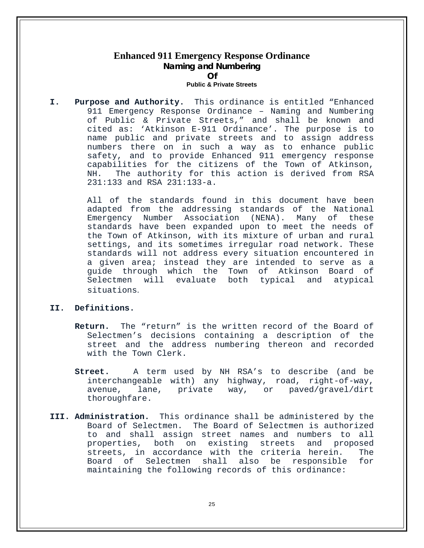## **Enhanced 911 Emergency Response Ordinance Naming and Numbering Of Public & Private Streets**

**I. Purpose and Authority.** This ordinance is entitled "Enhanced 911 Emergency Response Ordinance – Naming and Numbering of Public & Private Streets," and shall be known and cited as: 'Atkinson E-911 Ordinance'. The purpose is to name public and private streets and to assign address numbers there on in such a way as to enhance public safety, and to provide Enhanced 911 emergency response capabilities for the citizens of the Town of Atkinson,<br>NH. The authority for this action is derived from RSA The authority for this action is derived from RSA 231:133 and RSA 231:133-a.

> All of the standards found in this document have been adapted from the addressing standards of the National<br>Emergency Number Association (NENA). Many of these Emergency Number Association (NENA). Many of standards have been expanded upon to meet the needs of the Town of Atkinson, with its mixture of urban and rural settings, and its sometimes irregular road network. These standards will not address every situation encountered in a given area; instead they are intended to serve as a guide through which the Town of Atkinson Board of<br>Selectmen will evaluate both typical and atypical Selectmen will evaluate both typical and situations.

#### **II. Definitions.**

- **Return.** The "return" is the written record of the Board of Selectmen's decisions containing a description of the street and the address numbering thereon and recorded with the Town Clerk.
- **Street.** A term used by NH RSA's to describe (and be interchangeable with) any highway, road, right-of-way, avenue, lane, private way, or paved/gravel/dirt thoroughfare.
- **III. Administration.** This ordinance shall be administered by the Board of Selectmen. The Board of Selectmen is authorized to and shall assign street names and numbers to all properties, both on existing streets and proposed<br>streets, in accordance with the criteria herein. The streets, in accordance with the criteria herein. The<br>Board of Selectmen shall also be responsible for Board of Selectmen shall also be responsible maintaining the following records of this ordinance: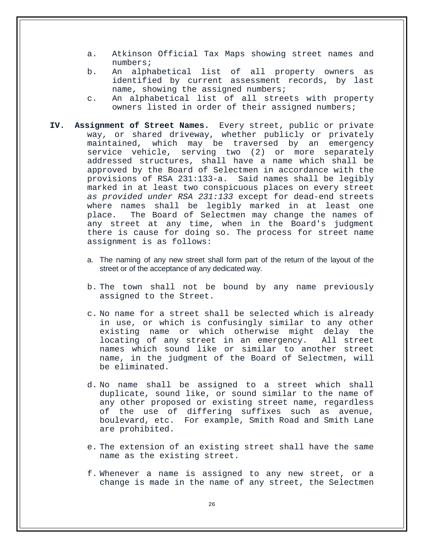- a. Atkinson Official Tax Maps showing street names and numbers;
- b. An alphabetical list of all property owners as identified by current assessment records, by last name, showing the assigned numbers;
- c. An alphabetical list of all streets with property owners listed in order of their assigned numbers;
- **IV. Assignment of Street Names.** Every street, public or private way, or shared driveway, whether publicly or privately maintained, which may be traversed by an emergency service vehicle, serving two (2) or more separately addressed structures, shall have a name which shall be approved by the Board of Selectmen in accordance with the provisions of RSA 231:133-a. Said names shall be legibly provisions of RSA 231:133-a. marked in at least two conspicuous places on every street *as provided under RSA 231:133* except for dead-end streets where names shall be legibly marked in at least one<br>place. The Board of Selectmen may change the names of The Board of Selectmen may change the names of any street at any time, when in the Board's judgment there is cause for doing so. The process for street name assignment is as follows:
	- a. The naming of any new street shall form part of the return of the layout of the street or of the acceptance of any dedicated way.
	- b. The town shall not be bound by any name previously assigned to the Street.
	- c. No name for a street shall be selected which is already in use, or which is confusingly similar to any other existing name or which otherwise might delay the locating of any street in an emergency. All street names which sound like or similar to another street name, in the judgment of the Board of Selectmen, will be eliminated.
	- d. No name shall be assigned to a street which shall duplicate, sound like, or sound similar to the name of any other proposed or existing street name, regardless of the use of differing suffixes such as avenue, boulevard, etc. For example, Smith Road and Smith Lane are prohibited.
	- e. The extension of an existing street shall have the same name as the existing street.
	- f. Whenever a name is assigned to any new street, or a change is made in the name of any street, the Selectmen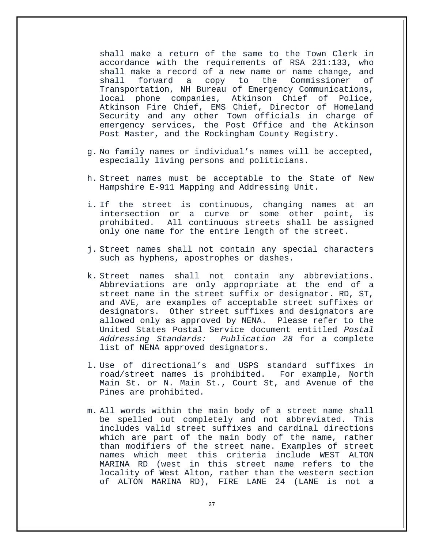shall make a return of the same to the Town Clerk in accordance with the requirements of RSA 231:133, who shall make a record of a new name or name change, and<br>shall forward a copy to the Commissioner of Commissioner Transportation, NH Bureau of Emergency Communications, phone companies, Atkinson Chief of Atkinson Fire Chief, EMS Chief, Director of Homeland Security and any other Town officials in charge of emergency services, the Post Office and the Atkinson Post Master, and the Rockingham County Registry.

- g. No family names or individual's names will be accepted, especially living persons and politicians.
- h. Street names must be acceptable to the State of New Hampshire E-911 Mapping and Addressing Unit.
- i. If the street is continuous, changing names at an intersection or a curve or some other point, is prohibited. All continuous streets shall be assigned only one name for the entire length of the street.
- j. Street names shall not contain any special characters such as hyphens, apostrophes or dashes.
- k. Street names shall not contain any abbreviations. Abbreviations are only appropriate at the end of a street name in the street suffix or designator. RD, ST, and AVE, are examples of acceptable street suffixes or designators. Other street suffixes and designators are allowed only as approved by NENA. Please refer to the United States Postal Service document entitled *Postal Addressing Standards: Publication 28* for a complete list of NENA approved designators.
- l. Use of directional's and USPS standard suffixes in road/street names is prohibited. For example, North Main St. or N. Main St., Court St, and Avenue of the Pines are prohibited.
- m. All words within the main body of a street name shall be spelled out completely and not abbreviated. This includes valid street suffixes and cardinal directions which are part of the main body of the name, rather than modifiers of the street name. Examples of street names which meet this criteria include WEST ALTON MARINA RD (west in this street name refers to the locality of West Alton, rather than the western section of ALTON MARINA RD), FIRE LANE 24 (LANE is not a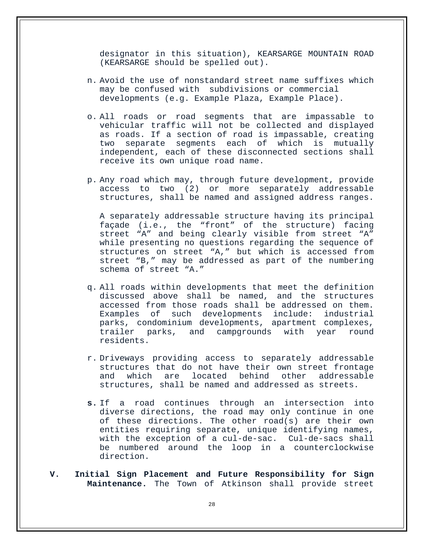designator in this situation), KEARSARGE MOUNTAIN ROAD (KEARSARGE should be spelled out).

- n. Avoid the use of nonstandard street name suffixes which may be confused with subdivisions or commercial developments (e.g. Example Plaza, Example Place).
- o. All roads or road segments that are impassable to vehicular traffic will not be collected and displayed as roads. If a section of road is impassable, creating two separate segments each of which is mutually independent, each of these disconnected sections shall receive its own unique road name.
- p. Any road which may, through future development, provide access to two (2) or more separately addressable structures, shall be named and assigned address ranges.

A separately addressable structure having its principal façade (i.e., the "front" of the structure) facing street "A" and being clearly visible from street "A" while presenting no questions regarding the sequence of structures on street "A," but which is accessed from street "B," may be addressed as part of the numbering schema of street "A."

- q. All roads within developments that meet the definition discussed above shall be named, and the structures accessed from those roads shall be addressed on them.<br>Examples of such developments include: industrial such developments include: industrial parks, condominium developments, apartment complexes, trailer parks, and campgrounds with year residents.
- r. Driveways providing access to separately addressable structures that do not have their own street frontage<br>and which are located behind other addressable which are located behind structures, shall be named and addressed as streets.
- **s.** If a road continues through an intersection into diverse directions, the road may only continue in one of these directions. The other road(s) are their own entities requiring separate, unique identifying names, with the exception of a cul-de-sac. Cul-de-sacs shall be numbered around the loop in a counterclockwise direction.
- **V. Initial Sign Placement and Future Responsibility for Sign Maintenance.** The Town of Atkinson shall provide street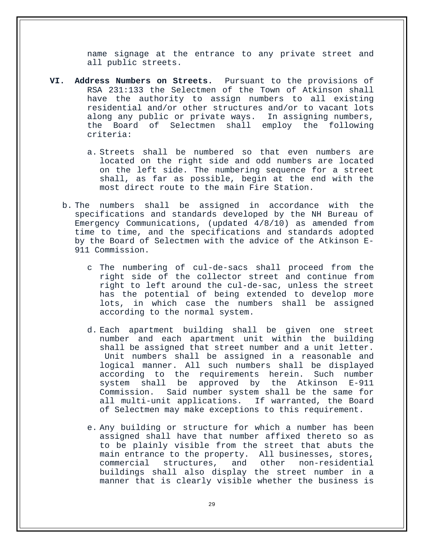name signage at the entrance to any private street and all public streets.

- **VI. Address Numbers on Streets.** Pursuant to the provisions of RSA 231:133 the Selectmen of the Town of Atkinson shall have the authority to assign numbers to all existing residential and/or other structures and/or to vacant lots<br>along any public or private ways. In assigning numbers, along any public or private ways.<br>the Board of Selectmen shall 6 Board of Selectmen shall employ the following criteria:
	- a. Streets shall be numbered so that even numbers are located on the right side and odd numbers are located on the left side. The numbering sequence for a street shall, as far as possible, begin at the end with the most direct route to the main Fire Station.
	- b. The numbers shall be assigned in accordance with the specifications and standards developed by the NH Bureau of Emergency Communications, (updated 4/8/10) as amended from time to time, and the specifications and standards adopted by the Board of Selectmen with the advice of the Atkinson E-911 Commission.
		- c The numbering of cul-de-sacs shall proceed from the right side of the collector street and continue from right to left around the cul-de-sac, unless the street has the potential of being extended to develop more lots, in which case the numbers shall be assigned according to the normal system.
		- d. Each apartment building shall be given one street number and each apartment unit within the building shall be assigned that street number and a unit letter. Unit numbers shall be assigned in a reasonable and logical manner. All such numbers shall be displayed according to the requirements herein. Such number<br>system shall be approved by the Atkinson E-911 approved by the Atkinson Commission. Said number system shall be the same for all multi-unit applications. If warranted, the Board of Selectmen may make exceptions to this requirement.
		- e. Any building or structure for which a number has been assigned shall have that number affixed thereto so as to be plainly visible from the street that abuts the main entrance to the property. All businesses, stores,<br>commercial structures, and other non-residential non-residential buildings shall also display the street number in a manner that is clearly visible whether the business is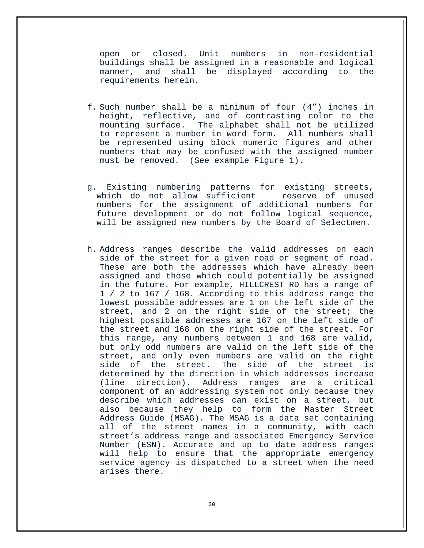open or closed. Unit numbers in non-residential buildings shall be assigned in a reasonable and logical manner, and shall be displayed according requirements herein.

- f. Such number shall be a minimum of four (4") inches in height, reflective, and of contrasting color to the mounting surface. The alphabet shall not be utilized to represent a number in word form. All numbers shall be represented using block numeric figures and other numbers that may be confused with the assigned number must be removed. (See example Figure 1).
- g. Existing numbering patterns for existing streets, which do not allow sufficient reserve of unused numbers for the assignment of additional numbers for future development or do not follow logical sequence, will be assigned new numbers by the Board of Selectmen.
- h. Address ranges describe the valid addresses on each side of the street for a given road or segment of road. These are both the addresses which have already been assigned and those which could potentially be assigned in the future. For example, HILLCREST RD has a range of 1 / 2 to 167 / 168. According to this address range the lowest possible addresses are 1 on the left side of the street, and 2 on the right side of the street; the highest possible addresses are 167 on the left side of the street and 168 on the right side of the street. For this range, any numbers between 1 and 168 are valid, but only odd numbers are valid on the left side of the street, and only even numbers are valid on the right<br>side of the street. The side of the street is The side of the street determined by the direction in which addresses increase (line direction). Address ranges are a critical component of an addressing system not only because they describe which addresses can exist on a street, but also because they help to form the Master Street Address Guide (MSAG). The MSAG is a data set containing all of the street names in a community, with each street's address range and associated Emergency Service Number (ESN). Accurate and up to date address ranges will help to ensure that the appropriate emergency service agency is dispatched to a street when the need arises there.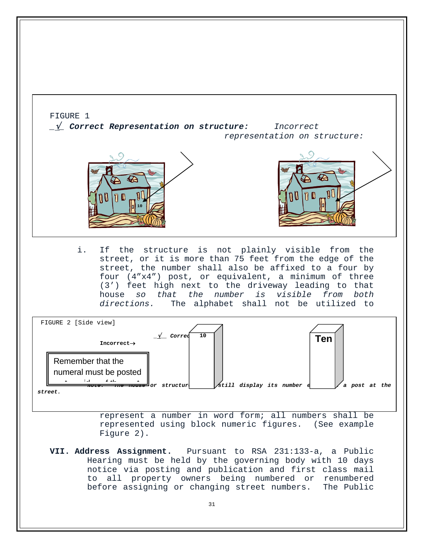

notice via posting and publication and first class mail to all property owners being numbered or renumbered before assigning or changing street numbers. The Public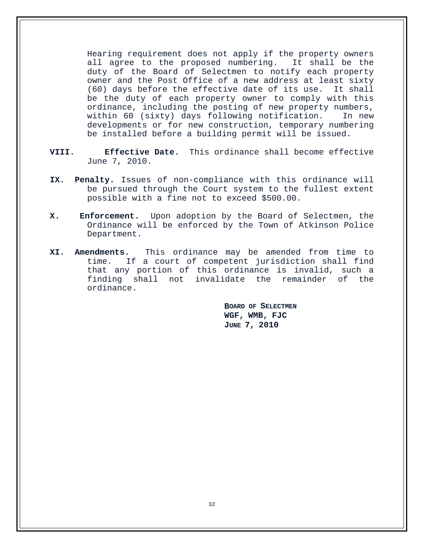Hearing requirement does not apply if the property owners all agree to the proposed numbering. It shall be the duty of the Board of Selectmen to notify each property owner and the Post Office of a new address at least sixty (60) days before the effective date of its use. It shall be the duty of each property owner to comply with this ordinance, including the posting of new property numbers, within 60 (sixty) days following notification. In new developments or for new construction, temporary numbering be installed before a building permit will be issued.

- **VIII. Effective Date.** This ordinance shall become effective June 7, 2010.
- **IX. Penalty.** Issues of non-compliance with this ordinance will be pursued through the Court system to the fullest extent possible with a fine not to exceed \$500.00.
- **X. Enforcement.** Upon adoption by the Board of Selectmen, the Ordinance will be enforced by the Town of Atkinson Police Department.
- **XI. Amendments.** This ordinance may be amended from time to time. If a court of competent jurisdiction shall find that any portion of this ordinance is invalid, such a finding shall not invalidate the remainder of ordinance.

**BOARD OF SELECTMEN WGF, WMB, FJC JUNE 7, 2010**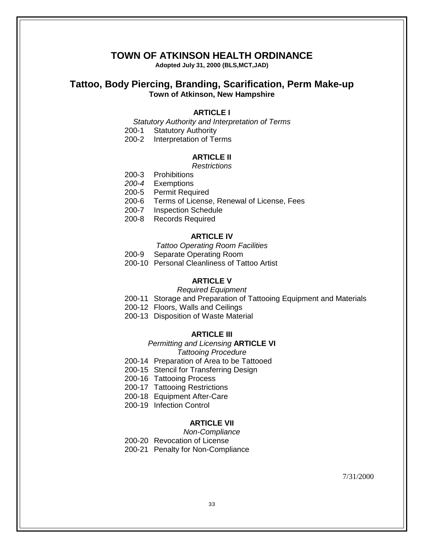## **TOWN OF ATKINSON HEALTH ORDINANCE**

**Adopted July 31, 2000 (BLS,MCT,JAD)**

## **Tattoo, Body Piercing, Branding, Scarification, Perm Make-up Town of Atkinson, New Hampshire**

#### **ARTICLE I**

*Statutory Authority and Interpretation of Terms*

200-1 Statutory Authority

200-2 Interpretation of Terms

#### **ARTICLE II**

#### *Restrictions*

200-3 Prohibitions

*200-4* Exemptions

200-5 Permit Required

- 200-6 Terms of License, Renewal of License, Fees
- 200-7 Inspection Schedule
- 200-8 Records Required

## **ARTICLE IV**

*Tattoo Operating Room Facilities*

- 200-9 Separate Operating Room
- 200-10 Personal Cleanliness of Tattoo Artist

#### **ARTICLE V**

#### *Required Equipment*

- 200-11 Storage and Preparation of Tattooing Equipment and Materials
- 200-12 Floors, Walls and Ceilings
- 200-13 Disposition of Waste Material

#### **ARTICLE III**

### *Permitting and Licensing* **ARTICLE VI**

*Tattooing Procedure*

200-14 Preparation of Area to be Tattooed

- 200-15 Stencil for Transferring Design
- 200-16 Tattooing Process
- 200-17 Tattooing Restrictions
- 200-18 Equipment After-Care
- 200-19 Infection Control

## **ARTICLE VII**

*Non-Compliance*

200-20 Revocation of License

200-21 Penalty for Non-Compliance

7/31/2000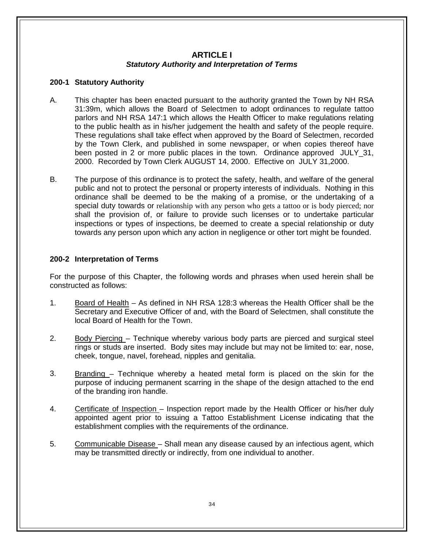## **ARTICLE I** *Statutory Authority and Interpretation of Terms*

## **200-1 Statutory Authority**

- A. This chapter has been enacted pursuant to the authority granted the Town by NH RSA 31:39m, which allows the Board of Selectmen to adopt ordinances to regulate tattoo parlors and NH RSA 147:1 which allows the Health Officer to make regulations relating to the public health as in his/her judgement the health and safety of the people require. These regulations shall take effect when approved by the Board of Selectmen, recorded by the Town Clerk, and published in some newspaper, or when copies thereof have been posted in 2 or more public places in the town. Ordinance approved JULY\_31, 2000. Recorded by Town Clerk AUGUST 14, 2000. Effective on JULY 31,2000.
- B. The purpose of this ordinance is to protect the safety, health, and welfare of the general public and not to protect the personal or property interests of individuals. Nothing in this ordinance shall be deemed to be the making of a promise, or the undertaking of a special duty towards or relationship with any person who gets a tattoo or is body pierced; nor shall the provision of, or failure to provide such licenses or to undertake particular inspections or types of inspections, be deemed to create a special relationship or duty towards any person upon which any action in negligence or other tort might be founded.

## **200-2 Interpretation of Terms**

For the purpose of this Chapter, the following words and phrases when used herein shall be constructed as follows:

- 1. Board of Health As defined in NH RSA 128:3 whereas the Health Officer shall be the Secretary and Executive Officer of and, with the Board of Selectmen, shall constitute the local Board of Health for the Town.
- 2. Body Piercing Technique whereby various body parts are pierced and surgical steel rings or studs are inserted. Body sites may include but may not be limited to: ear, nose, cheek, tongue, navel, forehead, nipples and genitalia.
- 3. Branding Technique whereby a heated metal form is placed on the skin for the purpose of inducing permanent scarring in the shape of the design attached to the end of the branding iron handle.
- 4. Certificate of Inspection Inspection report made by the Health Officer or his/her duly appointed agent prior to issuing a Tattoo Establishment License indicating that the establishment complies with the requirements of the ordinance.
- 5. Communicable Disease Shall mean any disease caused by an infectious agent, which may be transmitted directly or indirectly, from one individual to another.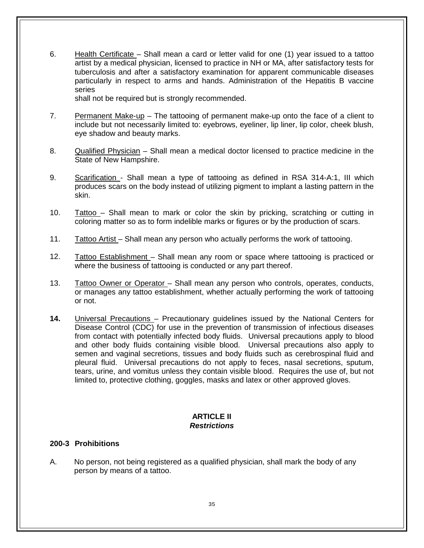6. Health Certificate – Shall mean a card or letter valid for one (1) year issued to a tattoo artist by a medical physician, licensed to practice in NH or MA, after satisfactory tests for tuberculosis and after a satisfactory examination for apparent communicable diseases particularly in respect to arms and hands. Administration of the Hepatitis B vaccine series

shall not be required but is strongly recommended.

- 7. Permanent Make-up The tattooing of permanent make-up onto the face of a client to include but not necessarily limited to: eyebrows, eyeliner, lip liner, lip color, cheek blush, eye shadow and beauty marks.
- 8. Qualified Physician Shall mean a medical doctor licensed to practice medicine in the State of New Hampshire.
- 9. Scarification Shall mean a type of tattooing as defined in RSA 314-A:1, III which produces scars on the body instead of utilizing pigment to implant a lasting pattern in the skin.
- 10. Tattoo Shall mean to mark or color the skin by pricking, scratching or cutting in coloring matter so as to form indelible marks or figures or by the production of scars.
- 11. Tattoo Artist Shall mean any person who actually performs the work of tattooing.
- 12. Tattoo Establishment Shall mean any room or space where tattooing is practiced or where the business of tattooing is conducted or any part thereof.
- 13. Tattoo Owner or Operator Shall mean any person who controls, operates, conducts, or manages any tattoo establishment, whether actually performing the work of tattooing or not.
- **14.** Universal Precautions Precautionary guidelines issued by the National Centers for Disease Control (CDC) for use in the prevention of transmission of infectious diseases from contact with potentially infected body fluids. Universal precautions apply to blood and other body fluids containing visible blood. Universal precautions also apply to semen and vaginal secretions, tissues and body fluids such as cerebrospinal fluid and pleural fluid. Universal precautions do not apply to feces, nasal secretions, sputum, tears, urine, and vomitus unless they contain visible blood. Requires the use of, but not limited to, protective clothing, goggles, masks and latex or other approved gloves.

## **ARTICLE II** *Restrictions*

#### **200-3 Prohibitions**

A. No person, not being registered as a qualified physician, shall mark the body of any person by means of a tattoo.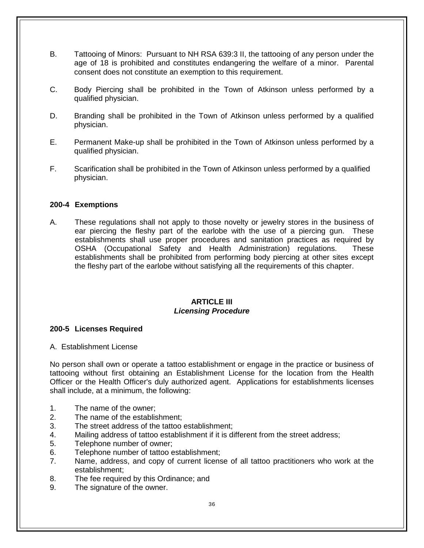- B. Tattooing of Minors: Pursuant to NH RSA 639:3 II, the tattooing of any person under the age of 18 is prohibited and constitutes endangering the welfare of a minor. Parental consent does not constitute an exemption to this requirement.
- C. Body Piercing shall be prohibited in the Town of Atkinson unless performed by a qualified physician.
- D. Branding shall be prohibited in the Town of Atkinson unless performed by a qualified physician.
- E. Permanent Make-up shall be prohibited in the Town of Atkinson unless performed by a qualified physician.
- F. Scarification shall be prohibited in the Town of Atkinson unless performed by a qualified physician.

## **200-4 Exemptions**

A. These regulations shall not apply to those novelty or jewelry stores in the business of ear piercing the fleshy part of the earlobe with the use of a piercing gun. These establishments shall use proper procedures and sanitation practices as required by OSHA (Occupational Safety and Health Administration) regulations. These establishments shall be prohibited from performing body piercing at other sites except the fleshy part of the earlobe without satisfying all the requirements of this chapter.

#### **ARTICLE III** *Licensing Procedure*

#### **200-5 Licenses Required**

A. Establishment License

No person shall own or operate a tattoo establishment or engage in the practice or business of tattooing without first obtaining an Establishment License for the location from the Health Officer or the Health Officer's duly authorized agent. Applications for establishments licenses shall include, at a minimum, the following:

- 1. The name of the owner;
- 2. The name of the establishment;
- 3. The street address of the tattoo establishment;
- 4. Mailing address of tattoo establishment if it is different from the street address;
- 5. Telephone number of owner;
- 6. Telephone number of tattoo establishment;
- 7. Name, address, and copy of current license of all tattoo practitioners who work at the establishment;
- 8. The fee required by this Ordinance; and
- 9. The signature of the owner.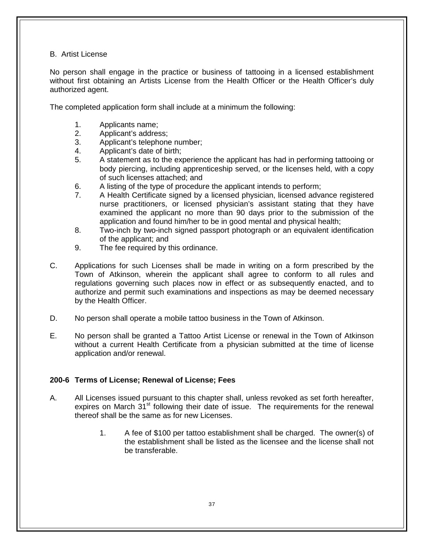## B. Artist License

No person shall engage in the practice or business of tattooing in a licensed establishment without first obtaining an Artists License from the Health Officer or the Health Officer's duly authorized agent.

The completed application form shall include at a minimum the following:

- 1. Applicants name;<br>2. Applicant's addres
- Applicant's address;
- 3. Applicant's telephone number;
- 4. Applicant's date of birth;
- 5. A statement as to the experience the applicant has had in performing tattooing or body piercing, including apprenticeship served, or the licenses held, with a copy of such licenses attached; and
- 6. A listing of the type of procedure the applicant intends to perform;
- 7. A Health Certificate signed by a licensed physician, licensed advance registered nurse practitioners, or licensed physician's assistant stating that they have examined the applicant no more than 90 days prior to the submission of the application and found him/her to be in good mental and physical health;
- 8. Two-inch by two-inch signed passport photograph or an equivalent identification of the applicant; and
- 9. The fee required by this ordinance.
- C. Applications for such Licenses shall be made in writing on a form prescribed by the Town of Atkinson, wherein the applicant shall agree to conform to all rules and regulations governing such places now in effect or as subsequently enacted, and to authorize and permit such examinations and inspections as may be deemed necessary by the Health Officer.
- D. No person shall operate a mobile tattoo business in the Town of Atkinson.
- E. No person shall be granted a Tattoo Artist License or renewal in the Town of Atkinson without a current Health Certificate from a physician submitted at the time of license application and/or renewal.

## **200-6 Terms of License; Renewal of License; Fees**

- A. All Licenses issued pursuant to this chapter shall, unless revoked as set forth hereafter, expires on March  $31<sup>st</sup>$  following their date of issue. The requirements for the renewal thereof shall be the same as for new Licenses.
	- 1. A fee of \$100 per tattoo establishment shall be charged. The owner(s) of the establishment shall be listed as the licensee and the license shall not be transferable.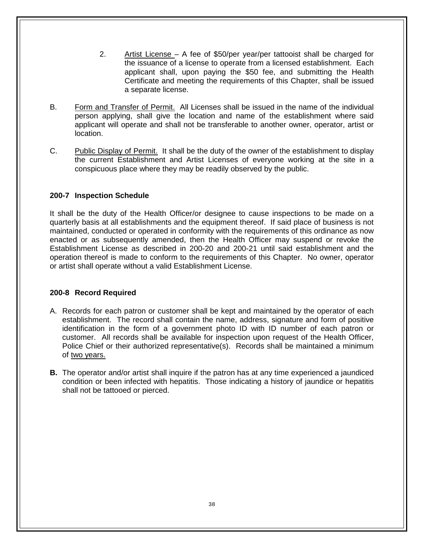- 2. Artist License A fee of \$50/per year/per tattooist shall be charged for the issuance of a license to operate from a licensed establishment. Each applicant shall, upon paying the \$50 fee, and submitting the Health Certificate and meeting the requirements of this Chapter, shall be issued a separate license.
- B. Form and Transfer of Permit. All Licenses shall be issued in the name of the individual person applying, shall give the location and name of the establishment where said applicant will operate and shall not be transferable to another owner, operator, artist or location.
- C. Public Display of Permit. It shall be the duty of the owner of the establishment to display the current Establishment and Artist Licenses of everyone working at the site in a conspicuous place where they may be readily observed by the public.

## **200-7 Inspection Schedule**

It shall be the duty of the Health Officer/or designee to cause inspections to be made on a quarterly basis at all establishments and the equipment thereof. If said place of business is not maintained, conducted or operated in conformity with the requirements of this ordinance as now enacted or as subsequently amended, then the Health Officer may suspend or revoke the Establishment License as described in 200-20 and 200-21 until said establishment and the operation thereof is made to conform to the requirements of this Chapter. No owner, operator or artist shall operate without a valid Establishment License.

#### **200-8 Record Required**

- A. Records for each patron or customer shall be kept and maintained by the operator of each establishment. The record shall contain the name, address, signature and form of positive identification in the form of a government photo ID with ID number of each patron or customer. All records shall be available for inspection upon request of the Health Officer, Police Chief or their authorized representative(s). Records shall be maintained a minimum of two years.
- **B.** The operator and/or artist shall inquire if the patron has at any time experienced a jaundiced condition or been infected with hepatitis. Those indicating a history of jaundice or hepatitis shall not be tattooed or pierced.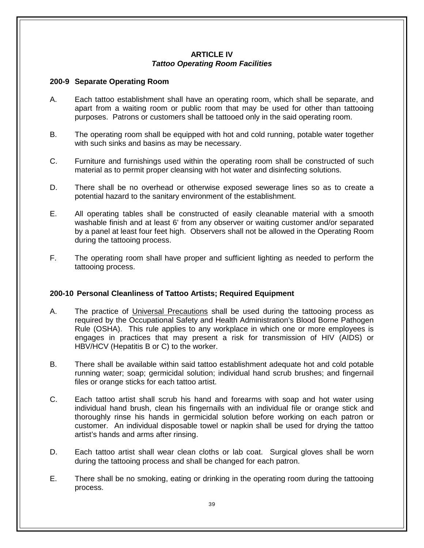## **ARTICLE IV** *Tattoo Operating Room Facilities*

## **200-9 Separate Operating Room**

- A. Each tattoo establishment shall have an operating room, which shall be separate, and apart from a waiting room or public room that may be used for other than tattooing purposes. Patrons or customers shall be tattooed only in the said operating room.
- B. The operating room shall be equipped with hot and cold running, potable water together with such sinks and basins as may be necessary.
- C. Furniture and furnishings used within the operating room shall be constructed of such material as to permit proper cleansing with hot water and disinfecting solutions.
- D. There shall be no overhead or otherwise exposed sewerage lines so as to create a potential hazard to the sanitary environment of the establishment.
- E. All operating tables shall be constructed of easily cleanable material with a smooth washable finish and at least 6' from any observer or waiting customer and/or separated by a panel at least four feet high. Observers shall not be allowed in the Operating Room during the tattooing process.
- F. The operating room shall have proper and sufficient lighting as needed to perform the tattooing process.

## **200-10 Personal Cleanliness of Tattoo Artists; Required Equipment**

- A. The practice of Universal Precautions shall be used during the tattooing process as required by the Occupational Safety and Health Administration's Blood Borne Pathogen Rule (OSHA). This rule applies to any workplace in which one or more employees is engages in practices that may present a risk for transmission of HIV (AIDS) or HBV/HCV (Hepatitis B or C) to the worker.
- B. There shall be available within said tattoo establishment adequate hot and cold potable running water; soap; germicidal solution; individual hand scrub brushes; and fingernail files or orange sticks for each tattoo artist.
- C. Each tattoo artist shall scrub his hand and forearms with soap and hot water using individual hand brush, clean his fingernails with an individual file or orange stick and thoroughly rinse his hands in germicidal solution before working on each patron or customer. An individual disposable towel or napkin shall be used for drying the tattoo artist's hands and arms after rinsing.
- D. Each tattoo artist shall wear clean cloths or lab coat. Surgical gloves shall be worn during the tattooing process and shall be changed for each patron.
- E. There shall be no smoking, eating or drinking in the operating room during the tattooing process.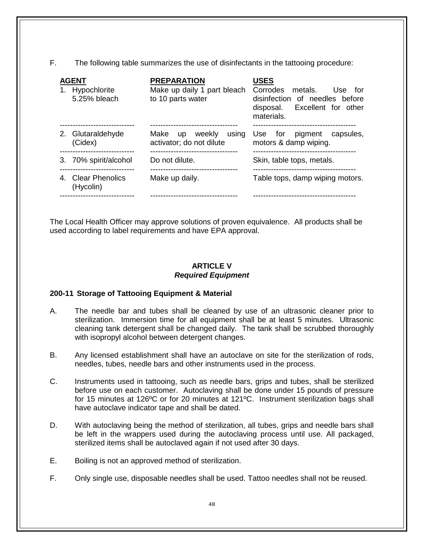F. The following table summarizes the use of disinfectants in the tattooing procedure:

| <b>AGENT</b><br>1. Hypochlorite<br>5.25% bleach | <b>PREPARATION</b><br>Make up daily 1 part bleach<br>to 10 parts water | USES<br>Corrodes metals.<br>Use for<br>disinfection of needles before<br>disposal. Excellent for other<br>materials. |  |
|-------------------------------------------------|------------------------------------------------------------------------|----------------------------------------------------------------------------------------------------------------------|--|
| 2. Glutaraldehyde<br>(Cidex)                    | weekly<br>using<br>Make up<br>activator; do not dilute                 | pigment capsules,<br>Use for<br>motors & damp wiping.                                                                |  |
| 3. 70% spirit/alcohol                           | Do not dilute.                                                         | Skin, table tops, metals.                                                                                            |  |
| 4. Clear Phenolics<br>(Hycolin)                 | Make up daily.                                                         | Table tops, damp wiping motors.                                                                                      |  |
|                                                 |                                                                        |                                                                                                                      |  |

The Local Health Officer may approve solutions of proven equivalence. All products shall be used according to label requirements and have EPA approval.

## **ARTICLE V** *Required Equipment*

## **200-11 Storage of Tattooing Equipment & Material**

- A. The needle bar and tubes shall be cleaned by use of an ultrasonic cleaner prior to sterilization. Immersion time for all equipment shall be at least 5 minutes. Ultrasonic cleaning tank detergent shall be changed daily. The tank shall be scrubbed thoroughly with isopropyl alcohol between detergent changes.
- B. Any licensed establishment shall have an autoclave on site for the sterilization of rods, needles, tubes, needle bars and other instruments used in the process.
- C. Instruments used in tattooing, such as needle bars, grips and tubes, shall be sterilized before use on each customer. Autoclaving shall be done under 15 pounds of pressure for 15 minutes at 126ºC or for 20 minutes at 121ºC. Instrument sterilization bags shall have autoclave indicator tape and shall be dated.
- D. With autoclaving being the method of sterilization, all tubes, grips and needle bars shall be left in the wrappers used during the autoclaving process until use. All packaged, sterilized items shall be autoclaved again if not used after 30 days.
- E. Boiling is not an approved method of sterilization.
- F. Only single use, disposable needles shall be used. Tattoo needles shall not be reused.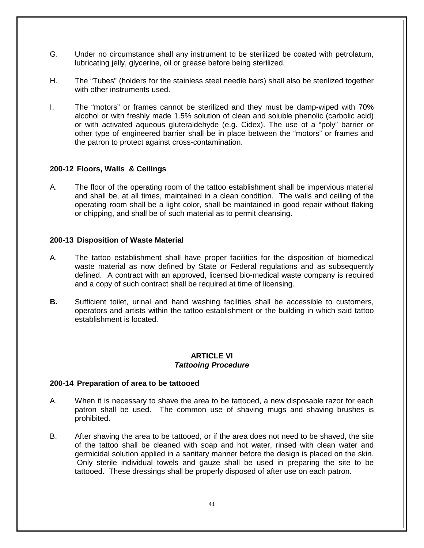- G. Under no circumstance shall any instrument to be sterilized be coated with petrolatum, lubricating jelly, glycerine, oil or grease before being sterilized.
- H. The "Tubes" (holders for the stainless steel needle bars) shall also be sterilized together with other instruments used.
- I. The "motors" or frames cannot be sterilized and they must be damp-wiped with 70% alcohol or with freshly made 1.5% solution of clean and soluble phenolic (carbolic acid) or with activated aqueous gluteraldehyde (e.g. Cidex). The use of a "poly" barrier or other type of engineered barrier shall be in place between the "motors" or frames and the patron to protect against cross-contamination.

## **200-12 Floors, Walls & Ceilings**

A. The floor of the operating room of the tattoo establishment shall be impervious material and shall be, at all times, maintained in a clean condition. The walls and ceiling of the operating room shall be a light color, shall be maintained in good repair without flaking or chipping, and shall be of such material as to permit cleansing.

#### **200-13 Disposition of Waste Material**

- A. The tattoo establishment shall have proper facilities for the disposition of biomedical waste material as now defined by State or Federal regulations and as subsequently defined. A contract with an approved, licensed bio-medical waste company is required and a copy of such contract shall be required at time of licensing.
- **B.** Sufficient toilet, urinal and hand washing facilities shall be accessible to customers, operators and artists within the tattoo establishment or the building in which said tattoo establishment is located.

## **ARTICLE VI** *Tattooing Procedure*

#### **200-14 Preparation of area to be tattooed**

- A. When it is necessary to shave the area to be tattooed, a new disposable razor for each patron shall be used. The common use of shaving mugs and shaving brushes is prohibited.
- B. After shaving the area to be tattooed, or if the area does not need to be shaved, the site of the tattoo shall be cleaned with soap and hot water, rinsed with clean water and germicidal solution applied in a sanitary manner before the design is placed on the skin. Only sterile individual towels and gauze shall be used in preparing the site to be tattooed. These dressings shall be properly disposed of after use on each patron.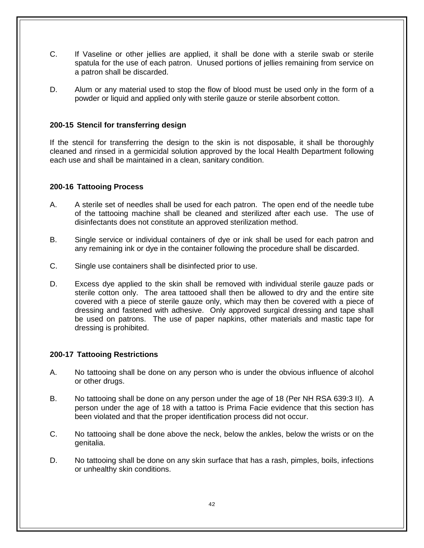- C. If Vaseline or other jellies are applied, it shall be done with a sterile swab or sterile spatula for the use of each patron. Unused portions of jellies remaining from service on a patron shall be discarded.
- D. Alum or any material used to stop the flow of blood must be used only in the form of a powder or liquid and applied only with sterile gauze or sterile absorbent cotton.

## **200-15 Stencil for transferring design**

If the stencil for transferring the design to the skin is not disposable, it shall be thoroughly cleaned and rinsed in a germicidal solution approved by the local Health Department following each use and shall be maintained in a clean, sanitary condition.

#### **200-16 Tattooing Process**

- A. A sterile set of needles shall be used for each patron. The open end of the needle tube of the tattooing machine shall be cleaned and sterilized after each use. The use of disinfectants does not constitute an approved sterilization method.
- B. Single service or individual containers of dye or ink shall be used for each patron and any remaining ink or dye in the container following the procedure shall be discarded.
- C. Single use containers shall be disinfected prior to use.
- D. Excess dye applied to the skin shall be removed with individual sterile gauze pads or sterile cotton only. The area tattooed shall then be allowed to dry and the entire site covered with a piece of sterile gauze only, which may then be covered with a piece of dressing and fastened with adhesive. Only approved surgical dressing and tape shall be used on patrons. The use of paper napkins, other materials and mastic tape for dressing is prohibited.

#### **200-17 Tattooing Restrictions**

- A. No tattooing shall be done on any person who is under the obvious influence of alcohol or other drugs.
- B. No tattooing shall be done on any person under the age of 18 (Per NH RSA 639:3 II). A person under the age of 18 with a tattoo is Prima Facie evidence that this section has been violated and that the proper identification process did not occur.
- C. No tattooing shall be done above the neck, below the ankles, below the wrists or on the genitalia.
- D. No tattooing shall be done on any skin surface that has a rash, pimples, boils, infections or unhealthy skin conditions.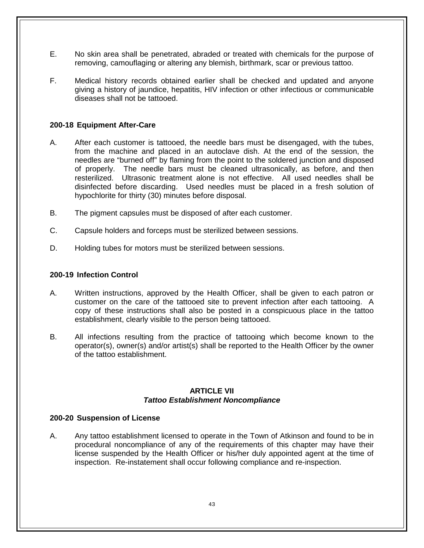- E. No skin area shall be penetrated, abraded or treated with chemicals for the purpose of removing, camouflaging or altering any blemish, birthmark, scar or previous tattoo.
- F. Medical history records obtained earlier shall be checked and updated and anyone giving a history of jaundice, hepatitis, HIV infection or other infectious or communicable diseases shall not be tattooed.

## **200-18 Equipment After-Care**

- A. After each customer is tattooed, the needle bars must be disengaged, with the tubes, from the machine and placed in an autoclave dish. At the end of the session, the needles are "burned off" by flaming from the point to the soldered junction and disposed of properly. The needle bars must be cleaned ultrasonically, as before, and then resterilized. Ultrasonic treatment alone is not effective. All used needles shall be disinfected before discarding. Used needles must be placed in a fresh solution of hypochlorite for thirty (30) minutes before disposal.
- B. The pigment capsules must be disposed of after each customer.
- C. Capsule holders and forceps must be sterilized between sessions.
- D. Holding tubes for motors must be sterilized between sessions.

#### **200-19 Infection Control**

- A. Written instructions, approved by the Health Officer, shall be given to each patron or customer on the care of the tattooed site to prevent infection after each tattooing. A copy of these instructions shall also be posted in a conspicuous place in the tattoo establishment, clearly visible to the person being tattooed.
- B. All infections resulting from the practice of tattooing which become known to the operator(s), owner(s) and/or artist(s) shall be reported to the Health Officer by the owner of the tattoo establishment.

#### **ARTICLE VII** *Tattoo Establishment Noncompliance*

#### **200-20 Suspension of License**

A. Any tattoo establishment licensed to operate in the Town of Atkinson and found to be in procedural noncompliance of any of the requirements of this chapter may have their license suspended by the Health Officer or his/her duly appointed agent at the time of inspection. Re-instatement shall occur following compliance and re-inspection.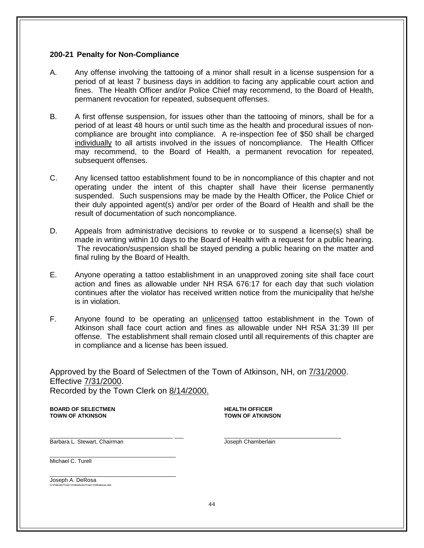#### **200-21 Penalty for Non-Compliance**

- A. Any offense involving the tattooing of a minor shall result in a license suspension for a period of at least 7 business days in addition to facing any applicable court action and fines. The Health Officer and/or Police Chief may recommend, to the Board of Health, permanent revocation for repeated, subsequent offenses.
- B. A first offense suspension, for issues other than the tattooing of minors, shall be for a period of at least 48 hours or until such time as the health and procedural issues of noncompliance are brought into compliance. A re-inspection fee of \$50 shall be charged individually to all artists involved in the issues of noncompliance. The Health Officer may recommend, to the Board of Health, a permanent revocation for repeated, subsequent offenses.
- C. Any licensed tattoo establishment found to be in noncompliance of this chapter and not operating under the intent of this chapter shall have their license permanently suspended. Such suspensions may be made by the Health Officer, the Police Chief or their duly appointed agent(s) and/or per order of the Board of Health and shall be the result of documentation of such noncompliance.
- D. Appeals from administrative decisions to revoke or to suspend a license(s) shall be made in writing within 10 days to the Board of Health with a request for a public hearing. The revocation/suspension shall be stayed pending a public hearing on the matter and final ruling by the Board of Health.
- E. Anyone operating a tattoo establishment in an unapproved zoning site shall face court action and fines as allowable under NH RSA 676:17 for each day that such violation continues after the violator has received written notice from the municipality that he/she is in violation.
- F. Anyone found to be operating an unlicensed tattoo establishment in the Town of Atkinson shall face court action and fines as allowable under NH RSA 31:39 III per offense. The establishment shall remain closed until all requirements of this chapter are in compliance and a license has been issued.

Approved by the Board of Selectmen of the Town of Atkinson, NH, on 7/31/2000. Effective 7/31/2000. Recorded by the Town Clerk on 8/14/2000.

**BOARD OF SELECTMEN HEALTH OFFICER**

**TOWN OF ATKINSON TOWN OF ATKINSON**

\_\_\_\_\_\_\_\_\_\_\_\_\_\_\_\_\_\_\_\_\_\_\_\_\_\_\_\_\_\_\_\_\_\_\_\_\_\_\_\_ \_\_\_ \_\_\_\_\_\_\_\_\_\_\_\_\_\_\_\_\_\_\_\_\_\_\_\_\_\_\_\_\_\_\_\_\_\_\_\_\_\_ Barbara L. Stewart, Chairman **Joseph Chamberlain** Joseph Chamberlain

\_\_\_\_\_\_\_\_\_\_\_\_\_\_\_\_\_\_\_\_\_\_\_\_\_\_\_\_\_\_\_\_\_\_\_\_\_\_\_\_\_

Michael C. Turell

\_\_\_\_\_\_\_\_\_\_\_\_\_\_\_\_\_\_\_\_\_\_\_\_\_\_\_\_\_\_\_\_\_\_\_\_\_\_\_\_\_ Joseph A. DeRosa G:\Policies\Town Ordinances\Town Ordinances.doc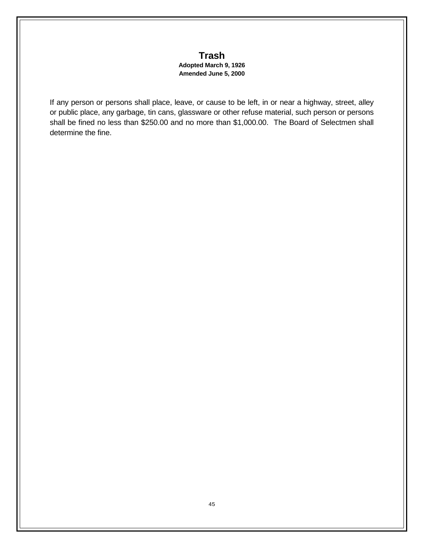## **Trash Adopted March 9, 1926 Amended June 5, 2000**

If any person or persons shall place, leave, or cause to be left, in or near a highway, street, alley or public place, any garbage, tin cans, glassware or other refuse material, such person or persons shall be fined no less than \$250.00 and no more than \$1,000.00. The Board of Selectmen shall determine the fine.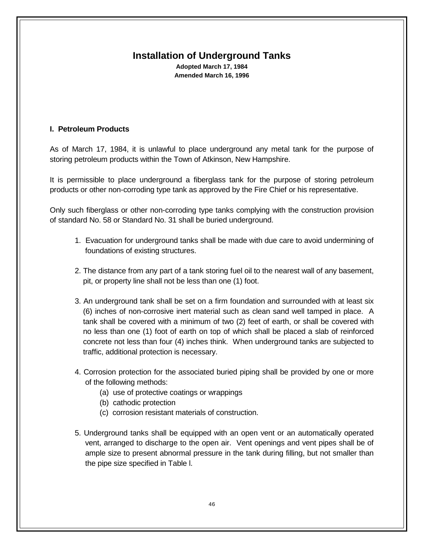# **Installation of Underground Tanks**

**Adopted March 17, 1984 Amended March 16, 1996**

## **I. Petroleum Products**

As of March 17, 1984, it is unlawful to place underground any metal tank for the purpose of storing petroleum products within the Town of Atkinson, New Hampshire.

It is permissible to place underground a fiberglass tank for the purpose of storing petroleum products or other non-corroding type tank as approved by the Fire Chief or his representative.

Only such fiberglass or other non-corroding type tanks complying with the construction provision of standard No. 58 or Standard No. 31 shall be buried underground.

- 1. Evacuation for underground tanks shall be made with due care to avoid undermining of foundations of existing structures.
- 2. The distance from any part of a tank storing fuel oil to the nearest wall of any basement, pit, or property line shall not be less than one (1) foot.
- 3. An underground tank shall be set on a firm foundation and surrounded with at least six (6) inches of non-corrosive inert material such as clean sand well tamped in place. A tank shall be covered with a minimum of two (2) feet of earth, or shall be covered with no less than one (1) foot of earth on top of which shall be placed a slab of reinforced concrete not less than four (4) inches think. When underground tanks are subjected to traffic, additional protection is necessary.
- 4. Corrosion protection for the associated buried piping shall be provided by one or more of the following methods:
	- (a) use of protective coatings or wrappings
	- (b) cathodic protection
	- (c) corrosion resistant materials of construction.
- 5. Underground tanks shall be equipped with an open vent or an automatically operated vent, arranged to discharge to the open air. Vent openings and vent pipes shall be of ample size to present abnormal pressure in the tank during filling, but not smaller than the pipe size specified in Table l.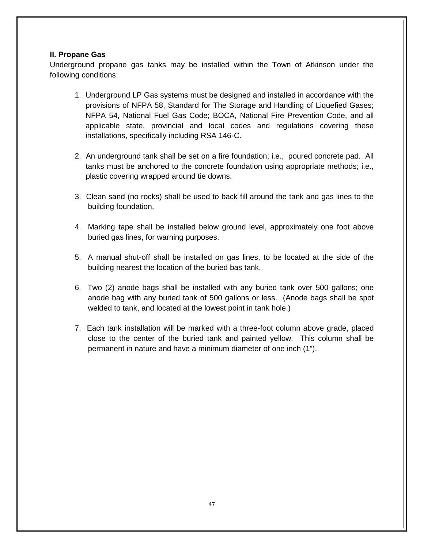## **II. Propane Gas**

Underground propane gas tanks may be installed within the Town of Atkinson under the following conditions:

- 1. Underground LP Gas systems must be designed and installed in accordance with the provisions of NFPA 58, Standard for The Storage and Handling of Liquefied Gases; NFPA 54, National Fuel Gas Code; BOCA, National Fire Prevention Code, and all applicable state, provincial and local codes and regulations covering these installations, specifically including RSA 146-C.
- 2. An underground tank shall be set on a fire foundation; i.e., poured concrete pad. All tanks must be anchored to the concrete foundation using appropriate methods; i.e., plastic covering wrapped around tie downs.
- 3. Clean sand (no rocks) shall be used to back fill around the tank and gas lines to the building foundation.
- 4. Marking tape shall be installed below ground level, approximately one foot above buried gas lines, for warning purposes.
- 5. A manual shut-off shall be installed on gas lines, to be located at the side of the building nearest the location of the buried bas tank.
- 6. Two (2) anode bags shall be installed with any buried tank over 500 gallons; one anode bag with any buried tank of 500 gallons or less. (Anode bags shall be spot welded to tank, and located at the lowest point in tank hole.)
- 7. Each tank installation will be marked with a three-foot column above grade, placed close to the center of the buried tank and painted yellow. This column shall be permanent in nature and have a minimum diameter of one inch (1").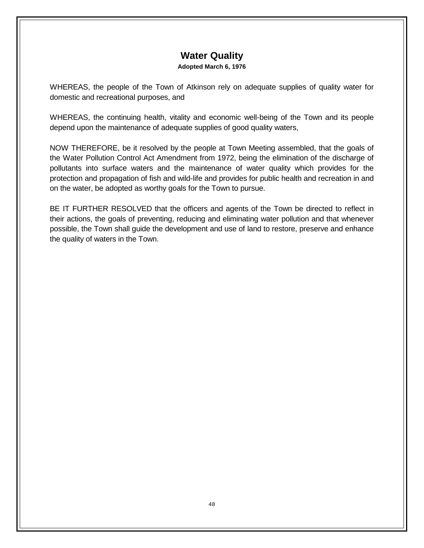# **Water Quality**

#### **Adopted March 6, 1976**

WHEREAS, the people of the Town of Atkinson rely on adequate supplies of quality water for domestic and recreational purposes, and

WHEREAS, the continuing health, vitality and economic well-being of the Town and its people depend upon the maintenance of adequate supplies of good quality waters,

NOW THEREFORE, be it resolved by the people at Town Meeting assembled, that the goals of the Water Pollution Control Act Amendment from 1972, being the elimination of the discharge of pollutants into surface waters and the maintenance of water quality which provides for the protection and propagation of fish and wild-life and provides for public health and recreation in and on the water, be adopted as worthy goals for the Town to pursue.

BE IT FURTHER RESOLVED that the officers and agents of the Town be directed to reflect in their actions, the goals of preventing, reducing and eliminating water pollution and that whenever possible, the Town shall guide the development and use of land to restore, preserve and enhance the quality of waters in the Town.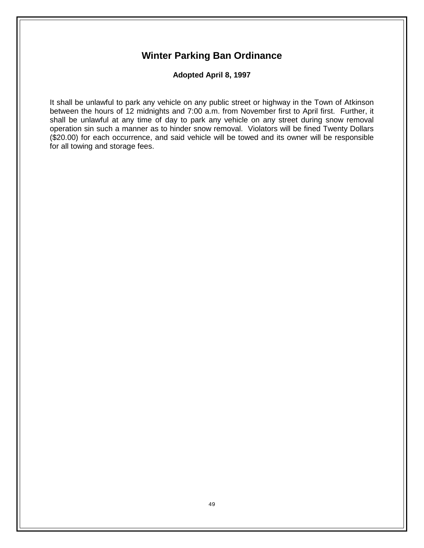# **Winter Parking Ban Ordinance**

**Adopted April 8, 1997**

It shall be unlawful to park any vehicle on any public street or highway in the Town of Atkinson between the hours of 12 midnights and 7:00 a.m. from November first to April first. Further, it shall be unlawful at any time of day to park any vehicle on any street during snow removal operation sin such a manner as to hinder snow removal. Violators will be fined Twenty Dollars (\$20.00) for each occurrence, and said vehicle will be towed and its owner will be responsible for all towing and storage fees.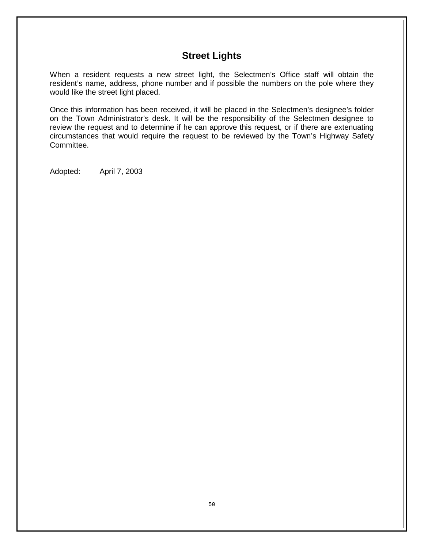# **Street Lights**

When a resident requests a new street light, the Selectmen's Office staff will obtain the resident's name, address, phone number and if possible the numbers on the pole where they would like the street light placed.

Once this information has been received, it will be placed in the Selectmen's designee's folder on the Town Administrator's desk. It will be the responsibility of the Selectmen designee to review the request and to determine if he can approve this request, or if there are extenuating circumstances that would require the request to be reviewed by the Town's Highway Safety Committee.

Adopted: April 7, 2003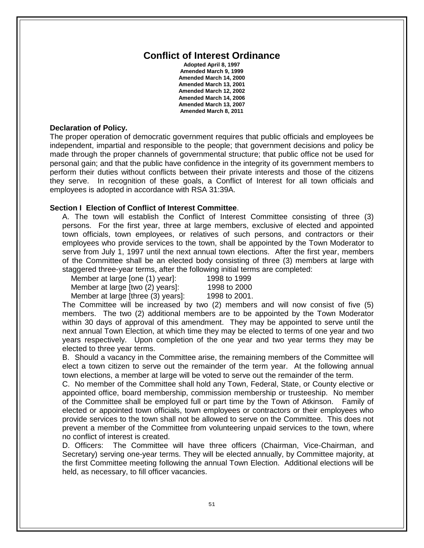## **Conflict of Interest Ordinance**

**Adopted April 8, 1997 Amended March 9, 1999 Amended March 14, 2000 Amended March 13, 2001 Amended March 12, 2002 Amended March 14, 2006 Amended March 13, 2007 Amended March 8, 2011**

#### **Declaration of Policy.**

The proper operation of democratic government requires that public officials and employees be independent, impartial and responsible to the people; that government decisions and policy be made through the proper channels of governmental structure; that public office not be used for personal gain; and that the public have confidence in the integrity of its government members to perform their duties without conflicts between their private interests and those of the citizens they serve. In recognition of these goals, a Conflict of Interest for all town officials and employees is adopted in accordance with RSA 31:39A.

#### **Section I Election of Conflict of Interest Committee**.

A. The town will establish the Conflict of Interest Committee consisting of three (3) persons. For the first year, three at large members, exclusive of elected and appointed town officials, town employees, or relatives of such persons, and contractors or their employees who provide services to the town, shall be appointed by the Town Moderator to serve from July 1, 1997 until the next annual town elections. After the first year, members of the Committee shall be an elected body consisting of three (3) members at large with staggered three-year terms, after the following initial terms are completed:<br>Member at large [one (1) yearl: 1998 to 1999

|  | Member at large [one (1) year]:  | 1998 to 1999 |  |
|--|----------------------------------|--------------|--|
|  | Member at large [two (2) years]: | 1998 to 2000 |  |

Member at large [three (3) years]: 1998 to 2001.

The Committee will be increased by two (2) members and will now consist of five (5) members. The two (2) additional members are to be appointed by the Town Moderator within 30 days of approval of this amendment. They may be appointed to serve until the next annual Town Election, at which time they may be elected to terms of one year and two years respectively. Upon completion of the one year and two year terms they may be elected to three year terms.

B. Should a vacancy in the Committee arise, the remaining members of the Committee will elect a town citizen to serve out the remainder of the term year. At the following annual town elections, a member at large will be voted to serve out the remainder of the term.

C. No member of the Committee shall hold any Town, Federal, State, or County elective or appointed office, board membership, commission membership or trusteeship. No member of the Committee shall be employed full or part time by the Town of Atkinson. Family of elected or appointed town officials, town employees or contractors or their employees who provide services to the town shall not be allowed to serve on the Committee. This does not prevent a member of the Committee from volunteering unpaid services to the town, where no conflict of interest is created.

D. Officers: The Committee will have three officers (Chairman, Vice-Chairman, and Secretary) serving one-year terms. They will be elected annually, by Committee majority, at the first Committee meeting following the annual Town Election. Additional elections will be held, as necessary, to fill officer vacancies.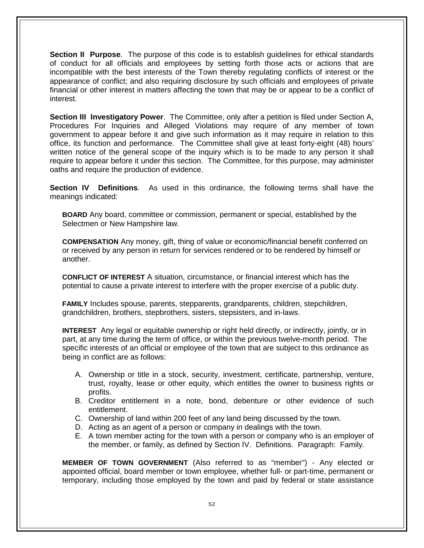**Section II Purpose**. The purpose of this code is to establish guidelines for ethical standards of conduct for all officials and employees by setting forth those acts or actions that are incompatible with the best interests of the Town thereby regulating conflicts of interest or the appearance of conflict; and also requiring disclosure by such officials and employees of private financial or other interest in matters affecting the town that may be or appear to be a conflict of interest.

**Section III Investigatory Power**. The Committee, only after a petition is filed under Section A, Procedures For Inquiries and Alleged Violations may require of any member of town government to appear before it and give such information as it may require in relation to this office, its function and performance. The Committee shall give at least forty-eight (48) hours' written notice of the general scope of the inquiry which is to be made to any person it shall require to appear before it under this section. The Committee, for this purpose, may administer oaths and require the production of evidence.

**Section IV Definitions**. As used in this ordinance, the following terms shall have the meanings indicated:

**BOARD** Any board, committee or commission, permanent or special, established by the Selectmen or New Hampshire law.

**COMPENSATION** Any money, gift, thing of value or economic/financial benefit conferred on or received by any person in return for services rendered or to be rendered by himself or another.

**CONFLICT OF INTEREST** A situation, circumstance, or financial interest which has the potential to cause a private interest to interfere with the proper exercise of a public duty.

**FAMILY** Includes spouse, parents, stepparents, grandparents, children, stepchildren, grandchildren, brothers, stepbrothers, sisters, stepsisters, and in-laws.

**INTEREST** Any legal or equitable ownership or right held directly, or indirectly, jointly, or in part, at any time during the term of office, or within the previous twelve-month period. The specific interests of an official or employee of the town that are subject to this ordinance as being in conflict are as follows:

- A. Ownership or title in a stock, security, investment, certificate, partnership, venture, trust, royalty, lease or other equity, which entitles the owner to business rights or profits.
- B. Creditor entitlement in a note, bond, debenture or other evidence of such entitlement.
- C. Ownership of land within 200 feet of any land being discussed by the town.
- D. Acting as an agent of a person or company in dealings with the town.
- E. A town member acting for the town with a person or company who is an employer of the member, or family, as defined by Section IV. Definitions. Paragraph: Family.

**MEMBER OF TOWN GOVERNMENT** (Also referred to as "member") - Any elected or appointed official, board member or town employee, whether full- or part-time, permanent or temporary, including those employed by the town and paid by federal or state assistance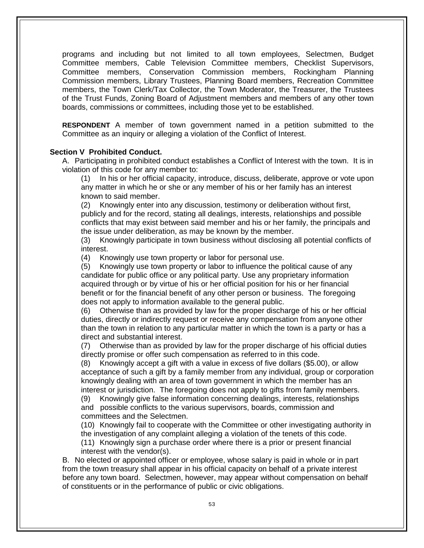programs and including but not limited to all town employees, Selectmen, Budget Committee members, Cable Television Committee members, Checklist Supervisors, Committee members, Conservation Commission members, Rockingham Planning Commission members, Library Trustees, Planning Board members, Recreation Committee members, the Town Clerk/Tax Collector, the Town Moderator, the Treasurer, the Trustees of the Trust Funds, Zoning Board of Adjustment members and members of any other town boards, commissions or committees, including those yet to be established.

**RESPONDENT** A member of town government named in a petition submitted to the Committee as an inquiry or alleging a violation of the Conflict of Interest.

#### **Section V Prohibited Conduct.**

A. Participating in prohibited conduct establishes a Conflict of Interest with the town.It is in violation of this code for any member to:

(1) In his or her official capacity, introduce, discuss, deliberate, approve or vote upon any matter in which he or she or any member of his or her family has an interest known to said member.

(2) Knowingly enter into any discussion, testimony or deliberation without first, publicly and for the record, stating all dealings, interests, relationships and possible conflicts that may exist between said member and his or her family, the principals and the issue under deliberation, as may be known by the member.

(3) Knowingly participate in town business without disclosing all potential conflicts of interest.

(4) Knowingly use town property or labor for personal use.

(5) Knowingly use town property or labor to influence the political cause of any candidate for public office or any political party. Use any proprietary information acquired through or by virtue of his or her official position for his or her financial benefit or for the financial benefit of any other person or business. The foregoing does not apply to information available to the general public.

(6) Otherwise than as provided by law for the proper discharge of his or her official duties, directly or indirectly request or receive any compensation from anyone other than the town in relation to any particular matter in which the town is a party or has a direct and substantial interest.

(7) Otherwise than as provided by law for the proper discharge of his official duties directly promise or offer such compensation as referred to in this code.

(8) Knowingly accept a gift with a value in excess of five dollars (\$5.00), or allow acceptance of such a gift by a family member from any individual, group or corporation knowingly dealing with an area of town government in which the member has an interest or jurisdiction. The foregoing does not apply to gifts from family members.

(9) Knowingly give false information concerning dealings, interests, relationships and possible conflicts to the various supervisors, boards, commission and committees and the Selectmen.

(10) Knowingly fail to cooperate with the Committee or other investigating authority in the investigation of any complaint alleging a violation of the tenets of this code.

(11) Knowingly sign a purchase order where there is a prior or present financial interest with the vendor(s).

B. No elected or appointed officer or employee, whose salary is paid in whole or in part from the town treasury shall appear in his official capacity on behalf of a private interest before any town board. Selectmen, however, may appear without compensation on behalf of constituents or in the performance of public or civic obligations.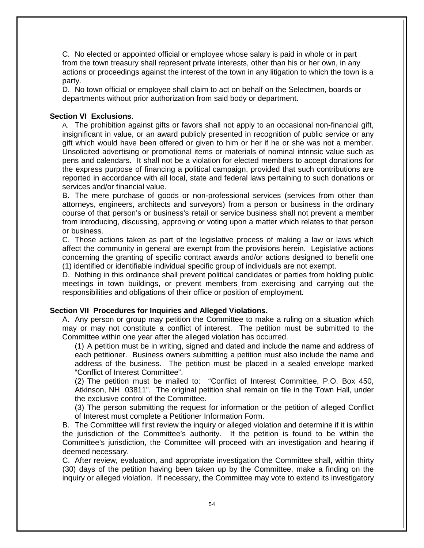C. No elected or appointed official or employee whose salary is paid in whole or in part from the town treasury shall represent private interests, other than his or her own, in any actions or proceedings against the interest of the town in any litigation to which the town is a party.

D. No town official or employee shall claim to act on behalf on the Selectmen, boards or departments without prior authorization from said body or department.

#### **Section VI Exclusions**.

A. The prohibition against gifts or favors shall not apply to an occasional non-financial gift, insignificant in value, or an award publicly presented in recognition of public service or any gift which would have been offered or given to him or her if he or she was not a member. Unsolicited advertising or promotional items or materials of nominal intrinsic value such as pens and calendars. It shall not be a violation for elected members to accept donations for the express purpose of financing a political campaign, provided that such contributions are reported in accordance with all local, state and federal laws pertaining to such donations or services and/or financial value.

B. The mere purchase of goods or non-professional services (services from other than attorneys, engineers, architects and surveyors) from a person or business in the ordinary course of that person's or business's retail or service business shall not prevent a member from introducing, discussing, approving or voting upon a matter which relates to that person or business.

C. Those actions taken as part of the legislative process of making a law or laws which affect the community in general are exempt from the provisions herein. Legislative actions concerning the granting of specific contract awards and/or actions designed to benefit one (1) identified or identifiable individual specific group of individuals are not exempt.

D. Nothing in this ordinance shall prevent political candidates or parties from holding public meetings in town buildings, or prevent members from exercising and carrying out the responsibilities and obligations of their office or position of employment.

#### **Section VII Procedures for Inquiries and Alleged Violations.**

A. Any person or group may petition the Committee to make a ruling on a situation which may or may not constitute a conflict of interest. The petition must be submitted to the Committee within one year after the alleged violation has occurred.

(1) A petition must be in writing, signed and dated and include the name and address of each petitioner. Business owners submitting a petition must also include the name and address of the business. The petition must be placed in a sealed envelope marked "Conflict of Interest Committee".

(2) The petition must be mailed to: "Conflict of Interest Committee, P.O. Box 450, Atkinson, NH 03811". The original petition shall remain on file in the Town Hall, under the exclusive control of the Committee.

(3) The person submitting the request for information or the petition of alleged Conflict of Interest must complete a Petitioner Information Form.

B. The Committee will first review the inquiry or alleged violation and determine if it is within the jurisdiction of the Committee's authority. If the petition is found to be within the Committee's jurisdiction, the Committee will proceed with an investigation and hearing if deemed necessary.

C. After review, evaluation, and appropriate investigation the Committee shall, within thirty (30) days of the petition having been taken up by the Committee, make a finding on the inquiry or alleged violation. If necessary, the Committee may vote to extend its investigatory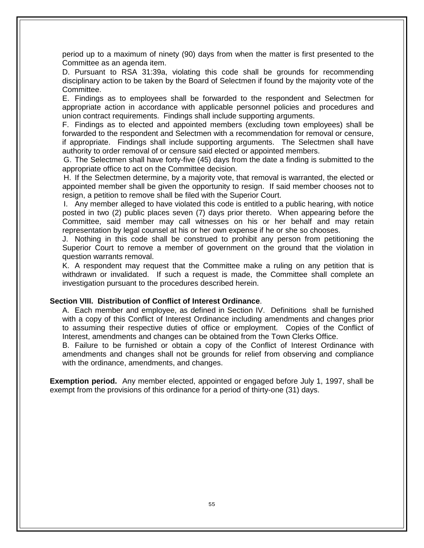period up to a maximum of ninety (90) days from when the matter is first presented to the Committee as an agenda item.

D. Pursuant to RSA 31:39a, violating this code shall be grounds for recommending disciplinary action to be taken by the Board of Selectmen if found by the majority vote of the Committee.

E. Findings as to employees shall be forwarded to the respondent and Selectmen for appropriate action in accordance with applicable personnel policies and procedures and union contract requirements. Findings shall include supporting arguments.

F. Findings as to elected and appointed members (excluding town employees) shall be forwarded to the respondent and Selectmen with a recommendation for removal or censure, if appropriate. Findings shall include supporting arguments. The Selectmen shall have authority to order removal of or censure said elected or appointed members.

 G. The Selectmen shall have forty-five (45) days from the date a finding is submitted to the appropriate office to act on the Committee decision.

 H. If the Selectmen determine, by a majority vote, that removal is warranted, the elected or appointed member shall be given the opportunity to resign. If said member chooses not to resign, a petition to remove shall be filed with the Superior Court.

 I. Any member alleged to have violated this code is entitled to a public hearing, with notice posted in two (2) public places seven (7) days prior thereto. When appearing before the Committee, said member may call witnesses on his or her behalf and may retain representation by legal counsel at his or her own expense if he or she so chooses.

J. Nothing in this code shall be construed to prohibit any person from petitioning the Superior Court to remove a member of government on the ground that the violation in question warrants removal.

K. A respondent may request that the Committee make a ruling on any petition that is withdrawn or invalidated. If such a request is made, the Committee shall complete an investigation pursuant to the procedures described herein.

#### **Section VIII. Distribution of Conflict of Interest Ordinance**.

A. Each member and employee, as defined in Section IV. Definitions shall be furnished with a copy of this Conflict of Interest Ordinance including amendments and changes prior to assuming their respective duties of office or employment. Copies of the Conflict of Interest, amendments and changes can be obtained from the Town Clerks Office.

B. Failure to be furnished or obtain a copy of the Conflict of Interest Ordinance with amendments and changes shall not be grounds for relief from observing and compliance with the ordinance, amendments, and changes.

**Exemption period.** Any member elected, appointed or engaged before July 1, 1997, shall be exempt from the provisions of this ordinance for a period of thirty-one (31) days.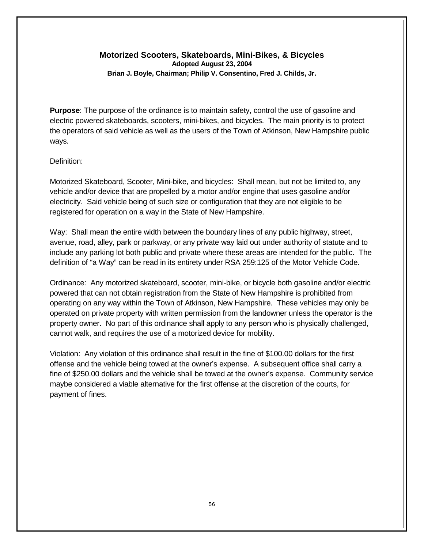## **Motorized Scooters, Skateboards, Mini-Bikes, & Bicycles Adopted August 23, 2004 Brian J. Boyle, Chairman; Philip V. Consentino, Fred J. Childs, Jr.**

**Purpose**: The purpose of the ordinance is to maintain safety, control the use of gasoline and electric powered skateboards, scooters, mini-bikes, and bicycles. The main priority is to protect the operators of said vehicle as well as the users of the Town of Atkinson, New Hampshire public ways.

## Definition:

Motorized Skateboard, Scooter, Mini-bike, and bicycles: Shall mean, but not be limited to, any vehicle and/or device that are propelled by a motor and/or engine that uses gasoline and/or electricity. Said vehicle being of such size or configuration that they are not eligible to be registered for operation on a way in the State of New Hampshire.

Way: Shall mean the entire width between the boundary lines of any public highway, street, avenue, road, alley, park or parkway, or any private way laid out under authority of statute and to include any parking lot both public and private where these areas are intended for the public. The definition of "a Way" can be read in its entirety under RSA 259:125 of the Motor Vehicle Code.

Ordinance: Any motorized skateboard, scooter, mini-bike, or bicycle both gasoline and/or electric powered that can not obtain registration from the State of New Hampshire is prohibited from operating on any way within the Town of Atkinson, New Hampshire. These vehicles may only be operated on private property with written permission from the landowner unless the operator is the property owner. No part of this ordinance shall apply to any person who is physically challenged, cannot walk, and requires the use of a motorized device for mobility.

Violation: Any violation of this ordinance shall result in the fine of \$100.00 dollars for the first offense and the vehicle being towed at the owner's expense. A subsequent office shall carry a fine of \$250.00 dollars and the vehicle shall be towed at the owner's expense. Community service maybe considered a viable alternative for the first offense at the discretion of the courts, for payment of fines.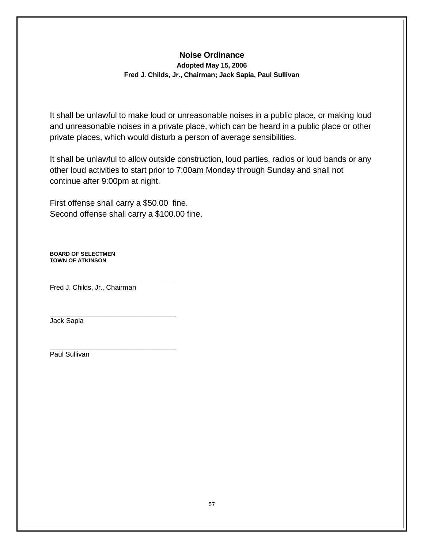## **Noise Ordinance Adopted May 15, 2006 Fred J. Childs, Jr., Chairman; Jack Sapia, Paul Sullivan**

It shall be unlawful to make loud or unreasonable noises in a public place, or making loud and unreasonable noises in a private place, which can be heard in a public place or other private places, which would disturb a person of average sensibilities.

It shall be unlawful to allow outside construction, loud parties, radios or loud bands or any other loud activities to start prior to 7:00am Monday through Sunday and shall not continue after 9:00pm at night.

First offense shall carry a \$50.00 fine. Second offense shall carry a \$100.00 fine.

**BOARD OF SELECTMEN TOWN OF ATKINSON**

\_\_\_\_\_\_\_\_\_\_\_\_\_\_\_\_\_\_\_\_\_\_\_\_\_\_\_\_\_\_\_\_\_\_\_\_\_\_\_\_ Fred J. Childs, Jr., Chairman

\_\_\_\_\_\_\_\_\_\_\_\_\_\_\_\_\_\_\_\_\_\_\_\_\_\_\_\_\_\_\_\_\_\_\_\_\_\_\_\_\_

Jack Sapia

\_\_\_\_\_\_\_\_\_\_\_\_\_\_\_\_\_\_\_\_\_\_\_\_\_\_\_\_\_\_\_\_\_\_\_\_\_\_\_\_\_ Paul Sullivan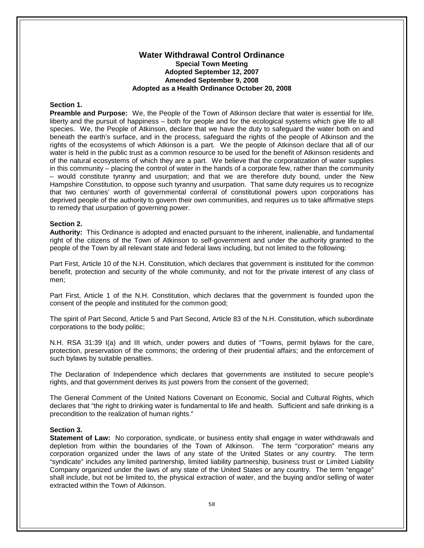#### **Water Withdrawal Control Ordinance Special Town Meeting Adopted September 12, 2007 Amended September 9, 2008 Adopted as a Health Ordinance October 20, 2008**

#### **Section 1.**

**Preamble and Purpose:** We, the People of the Town of Atkinson declare that water is essential for life, liberty and the pursuit of happiness – both for people and for the ecological systems which give life to all species. We, the People of Atkinson, declare that we have the duty to safeguard the water both on and beneath the earth's surface, and in the process, safeguard the rights of the people of Atkinson and the rights of the ecosystems of which Atkinson is a part. We the people of Atkinson declare that all of our water is held in the public trust as a common resource to be used for the benefit of Atkinson residents and of the natural ecosystems of which they are a part. We believe that the corporatization of water supplies in this community – placing the control of water in the hands of a corporate few, rather than the community – would constitute tyranny and usurpation; and that we are therefore duty bound, under the New Hampshire Constitution, to oppose such tyranny and usurpation. That same duty requires us to recognize that two centuries' worth of governmental conferral of constitutional powers upon corporations has deprived people of the authority to govern their own communities, and requires us to take affirmative steps to remedy that usurpation of governing power.

#### **Section 2.**

**Authority:** This Ordinance is adopted and enacted pursuant to the inherent, inalienable, and fundamental right of the citizens of the Town of Atkinson to self-government and under the authority granted to the people of the Town by all relevant state and federal laws including, but not limited to the following:

Part First, Article 10 of the N.H. Constitution, which declares that government is instituted for the common benefit, protection and security of the whole community, and not for the private interest of any class of men;

Part First, Article 1 of the N.H. Constitution, which declares that the government is founded upon the consent of the people and instituted for the common good;

The spirit of Part Second, Article 5 and Part Second, Article 83 of the N.H. Constitution, which subordinate corporations to the body politic;

N.H. RSA 31:39 I(a) and III which, under powers and duties of "Towns, permit bylaws for the care, protection, preservation of the commons; the ordering of their prudential affairs; and the enforcement of such bylaws by suitable penalties.

The Declaration of Independence which declares that governments are instituted to secure people's rights, and that government derives its just powers from the consent of the governed;

The General Comment of the United Nations Covenant on Economic, Social and Cultural Rights, which declares that "the right to drinking water is fundamental to life and health. Sufficient and safe drinking is a precondition to the realization of human rights."

#### **Section 3.**

**Statement of Law:** No corporation, syndicate, or business entity shall engage in water withdrawals and depletion from within the boundaries of the Town of Atkinson. The term "corporation" means any corporation organized under the laws of any state of the United States or any country. The term "syndicate" includes any limited partnership, limited liability partnership, business trust or Limited Liability Company organized under the laws of any state of the United States or any country. The term "engage" shall include, but not be limited to, the physical extraction of water, and the buying and/or selling of water extracted within the Town of Atkinson.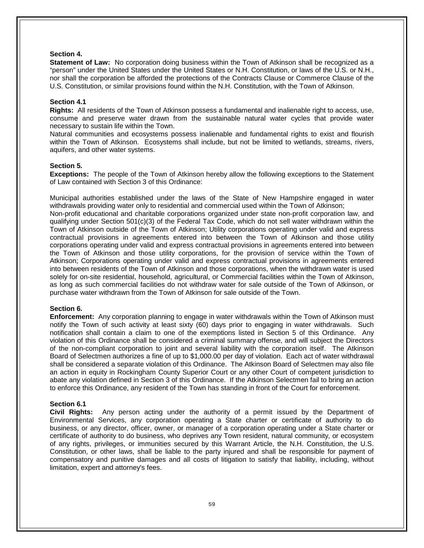#### **Section 4.**

**Statement of Law:** No corporation doing business within the Town of Atkinson shall be recognized as a "person" under the United States under the United States or N.H. Constitution, or laws of the U.S. or N.H., nor shall the corporation be afforded the protections of the Contracts Clause or Commerce Clause of the U.S. Constitution, or similar provisions found within the N.H. Constitution, with the Town of Atkinson.

#### **Section 4.1**

**Rights:** All residents of the Town of Atkinson possess a fundamental and inalienable right to access, use, consume and preserve water drawn from the sustainable natural water cycles that provide water necessary to sustain life within the Town.

Natural communities and ecosystems possess inalienable and fundamental rights to exist and flourish within the Town of Atkinson. Ecosystems shall include, but not be limited to wetlands, streams, rivers, aquifers, and other water systems.

#### **Section 5.**

**Exceptions:** The people of the Town of Atkinson hereby allow the following exceptions to the Statement of Law contained with Section 3 of this Ordinance:

Municipal authorities established under the laws of the State of New Hampshire engaged in water withdrawals providing water only to residential and commercial used within the Town of Atkinson;

Non-profit educational and charitable corporations organized under state non-profit corporation law, and qualifying under Section 501(c)(3) of the Federal Tax Code, which do not sell water withdrawn within the Town of Atkinson outside of the Town of Atkinson; Utility corporations operating under valid and express contractual provisions in agreements entered into between the Town of Atkinson and those utility corporations operating under valid and express contractual provisions in agreements entered into between the Town of Atkinson and those utility corporations, for the provision of service within the Town of Atkinson; Corporations operating under valid and express contractual provisions in agreements entered into between residents of the Town of Atkinson and those corporations, when the withdrawn water is used solely for on-site residential, household, agricultural, or Commercial facilities within the Town of Atkinson, as long as such commercial facilities do not withdraw water for sale outside of the Town of Atkinson, or purchase water withdrawn from the Town of Atkinson for sale outside of the Town.

#### **Section 6.**

**Enforcement:** Any corporation planning to engage in water withdrawals within the Town of Atkinson must notify the Town of such activity at least sixty (60) days prior to engaging in water withdrawals. Such notification shall contain a claim to one of the exemptions listed in Section 5 of this Ordinance. Any violation of this Ordinance shall be considered a criminal summary offense, and will subject the Directors of the non-compliant corporation to joint and several liability with the corporation itself. The Atkinson Board of Selectmen authorizes a fine of up to \$1,000.00 per day of violation. Each act of water withdrawal shall be considered a separate violation of this Ordinance. The Atkinson Board of Selectmen may also file an action in equity in Rockingham County Superior Court or any other Court of competent jurisdiction to abate any violation defined in Section 3 of this Ordinance. If the Atkinson Selectmen fail to bring an action to enforce this Ordinance, any resident of the Town has standing in front of the Court for enforcement.

#### **Section 6.1**

**Civil Rights:** Any person acting under the authority of a permit issued by the Department of Environmental Services, any corporation operating a State charter or certificate of authority to do business, or any director, officer, owner, or manager of a corporation operating under a State charter or certificate of authority to do business, who deprives any Town resident, natural community, or ecosystem of any rights, privileges, or immunities secured by this Warrant Article, the N.H. Constitution, the U.S. Constitution, or other laws, shall be liable to the party injured and shall be responsible for payment of compensatory and punitive damages and all costs of litigation to satisfy that liability, including, without limitation, expert and attorney's fees.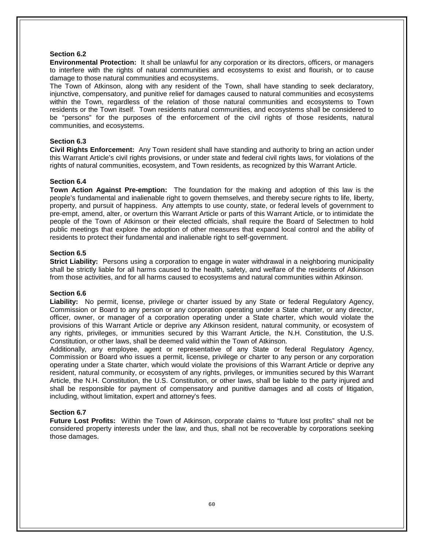#### **Section 6.2**

**Environmental Protection:** It shall be unlawful for any corporation or its directors, officers, or managers to interfere with the rights of natural communities and ecosystems to exist and flourish, or to cause damage to those natural communities and ecosystems.

The Town of Atkinson, along with any resident of the Town, shall have standing to seek declaratory, injunctive, compensatory, and punitive relief for damages caused to natural communities and ecosystems within the Town, regardless of the relation of those natural communities and ecosystems to Town residents or the Town itself. Town residents natural communities, and ecosystems shall be considered to be "persons" for the purposes of the enforcement of the civil rights of those residents, natural communities, and ecosystems.

#### **Section 6.3**

**Civil Rights Enforcement:** Any Town resident shall have standing and authority to bring an action under this Warrant Article's civil rights provisions, or under state and federal civil rights laws, for violations of the rights of natural communities, ecosystem, and Town residents, as recognized by this Warrant Article.

#### **Section 6.4**

**Town Action Against Pre-emption:** The foundation for the making and adoption of this law is the people's fundamental and inalienable right to govern themselves, and thereby secure rights to life, liberty, property, and pursuit of happiness. Any attempts to use county, state, or federal levels of government to pre-empt, amend, alter, or overturn this Warrant Article or parts of this Warrant Article, or to intimidate the people of the Town of Atkinson or their elected officials, shall require the Board of Selectmen to hold public meetings that explore the adoption of other measures that expand local control and the ability of residents to protect their fundamental and inalienable right to self-government.

#### **Section 6.5**

**Strict Liability:** Persons using a corporation to engage in water withdrawal in a neighboring municipality shall be strictly liable for all harms caused to the health, safety, and welfare of the residents of Atkinson from those activities, and for all harms caused to ecosystems and natural communities within Atkinson.

#### **Section 6.6**

**Liability:** No permit, license, privilege or charter issued by any State or federal Regulatory Agency, Commission or Board to any person or any corporation operating under a State charter, or any director, officer, owner, or manager of a corporation operating under a State charter, which would violate the provisions of this Warrant Article or deprive any Atkinson resident, natural community, or ecosystem of any rights, privileges, or immunities secured by this Warrant Article, the N.H. Constitution, the U.S. Constitution, or other laws, shall be deemed valid within the Town of Atkinson.

Additionally, any employee, agent or representative of any State or federal Regulatory Agency, Commission or Board who issues a permit, license, privilege or charter to any person or any corporation operating under a State charter, which would violate the provisions of this Warrant Article or deprive any resident, natural community, or ecosystem of any rights, privileges, or immunities secured by this Warrant Article, the N.H. Constitution, the U.S. Constitution, or other laws, shall be liable to the party injured and shall be responsible for payment of compensatory and punitive damages and all costs of litigation, including, without limitation, expert and attorney's fees.

#### **Section 6.7**

**Future Lost Profits:** Within the Town of Atkinson, corporate claims to "future lost profits" shall not be considered property interests under the law, and thus, shall not be recoverable by corporations seeking those damages.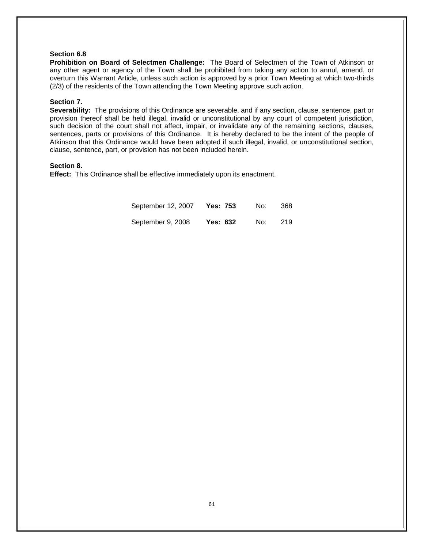#### **Section 6.8**

**Prohibition on Board of Selectmen Challenge:** The Board of Selectmen of the Town of Atkinson or any other agent or agency of the Town shall be prohibited from taking any action to annul, amend, or overturn this Warrant Article, unless such action is approved by a prior Town Meeting at which two-thirds (2/3) of the residents of the Town attending the Town Meeting approve such action.

#### **Section 7.**

**Severability:** The provisions of this Ordinance are severable, and if any section, clause, sentence, part or provision thereof shall be held illegal, invalid or unconstitutional by any court of competent jurisdiction, such decision of the court shall not affect, impair, or invalidate any of the remaining sections, clauses, sentences, parts or provisions of this Ordinance. It is hereby declared to be the intent of the people of Atkinson that this Ordinance would have been adopted if such illegal, invalid, or unconstitutional section, clause, sentence, part, or provision has not been included herein.

#### **Section 8.**

**Effect:** This Ordinance shall be effective immediately upon its enactment.

| September 12, 2007 | Yes: 753        | No: | 368 |
|--------------------|-----------------|-----|-----|
| September 9, 2008  | <b>Yes: 632</b> | No: | 219 |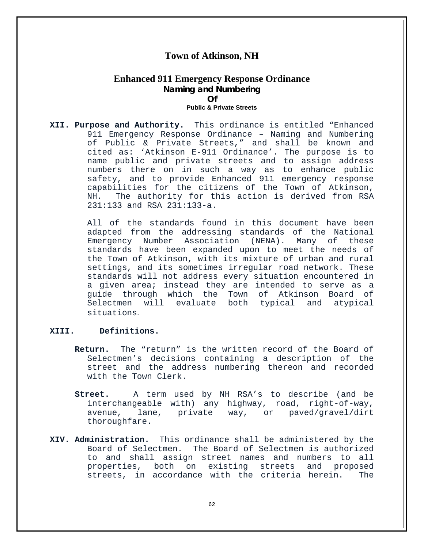## **Town of Atkinson, NH**

## **Enhanced 911 Emergency Response Ordinance Naming and Numbering Of**

#### **Public & Private Streets**

**XII. Purpose and Authority.** This ordinance is entitled "Enhanced 911 Emergency Response Ordinance – Naming and Numbering of Public & Private Streets," and shall be known and cited as: 'Atkinson E-911 Ordinance'. The purpose is to name public and private streets and to assign address numbers there on in such a way as to enhance public safety, and to provide Enhanced 911 emergency response capabilities for the citizens of the Town of Atkinson,<br>NH. The authority for this action is derived from RSA The authority for this action is derived from RSA 231:133 and RSA 231:133-a.

> All of the standards found in this document have been adapted from the addressing standards of the National<br>Emergency Number Association (NENA). Many of these Emergency Number Association (NENA). standards have been expanded upon to meet the needs of the Town of Atkinson, with its mixture of urban and rural settings, and its sometimes irregular road network. These standards will not address every situation encountered in a given area; instead they are intended to serve as a guide through which the Town of Atkinson Board of<br>Selectmen will evaluate both typical and atypical Selectmen will evaluate both typical situations.

#### **XIII. Definitions.**

- **Return.** The "return" is the written record of the Board of Selectmen's decisions containing a description of the street and the address numbering thereon and recorded with the Town Clerk.
- **Street.** A term used by NH RSA's to describe (and be interchangeable with) any highway, road, right-of-way, way, or paved/gravel/dirt thoroughfare.
- **XIV. Administration.** This ordinance shall be administered by the The Board of Selectmen is authorized to and shall assign street names and numbers to all properties, both on existing streets and proposed<br>streets, in accordance with the criteria herein. The streets, in accordance with the criteria herein.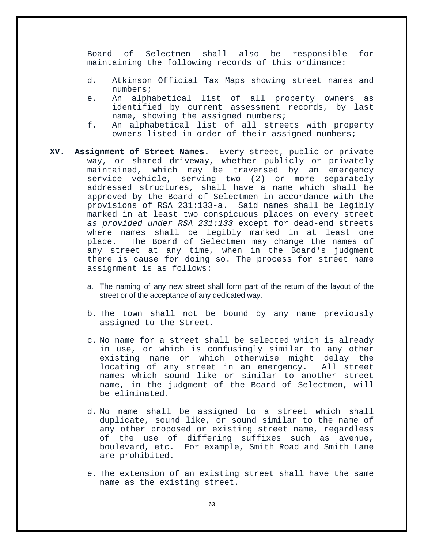Board of Selectmen shall also be responsible for maintaining the following records of this ordinance:

- d. Atkinson Official Tax Maps showing street names and numbers;
- e. An alphabetical list of all property owners as identified by current assessment records, by last name, showing the assigned numbers;
- f. An alphabetical list of all streets with property owners listed in order of their assigned numbers;
- **XV. Assignment of Street Names.** Every street, public or private way, or shared driveway, whether publicly or privately maintained, which may be traversed by an emergency service vehicle, serving two (2) or more separately addressed structures, shall have a name which shall be approved by the Board of Selectmen in accordance with the provisions of RSA 231:133-a. Said names shall be legibly provisions of RSA 231:133-a. marked in at least two conspicuous places on every street *as provided under RSA 231:133* except for dead-end streets where names shall be legibly marked in at least one<br>place. The Board of Selectmen may change the names of The Board of Selectmen may change the names of any street at any time, when in the Board's judgment there is cause for doing so. The process for street name assignment is as follows:
	- a. The naming of any new street shall form part of the return of the layout of the street or of the acceptance of any dedicated way.
	- b. The town shall not be bound by any name previously assigned to the Street.
	- c. No name for a street shall be selected which is already in use, or which is confusingly similar to any other existing name or which otherwise might delay the<br>locating of any street in an emergency. All street locating of any street in an emergency. names which sound like or similar to another street name, in the judgment of the Board of Selectmen, will be eliminated.
	- d. No name shall be assigned to a street which shall duplicate, sound like, or sound similar to the name of any other proposed or existing street name, regardless of the use of differing suffixes such as avenue, boulevard, etc. For example, Smith Road and Smith Lane are prohibited.
	- e. The extension of an existing street shall have the same name as the existing street.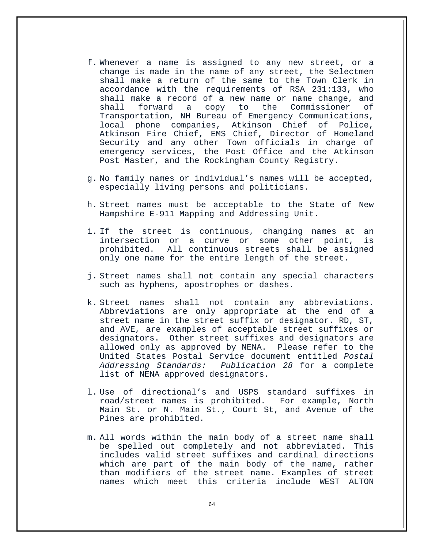- f. Whenever a name is assigned to any new street, or a change is made in the name of any street, the Selectmen shall make a return of the same to the Town Clerk in accordance with the requirements of RSA 231:133, who shall make a record of a new name or name change, and<br>shall forward a copy to the Commissioner of a copy to the Commissioner Transportation, NH Bureau of Emergency Communications, local phone companies, Atkinson Chief of Police, Atkinson Fire Chief, EMS Chief, Director of Homeland Security and any other Town officials in charge of emergency services, the Post Office and the Atkinson Post Master, and the Rockingham County Registry.
- g. No family names or individual's names will be accepted, especially living persons and politicians.
- h. Street names must be acceptable to the State of New Hampshire E-911 Mapping and Addressing Unit.
- i. If the street is continuous, changing names at an intersection or a curve or some other point, is prohibited. All continuous streets shall be assigned only one name for the entire length of the street.
- j. Street names shall not contain any special characters such as hyphens, apostrophes or dashes.
- k. Street names shall not contain any abbreviations. Abbreviations are only appropriate at the end of a street name in the street suffix or designator. RD, ST, and AVE, are examples of acceptable street suffixes or designators. Other street suffixes and designators are allowed only as approved by NENA. Please refer to the United States Postal Service document entitled *Postal Addressing Standards: Publication 28* for a complete list of NENA approved designators.
- l. Use of directional's and USPS standard suffixes in road/street names is prohibited. For example, North Main St. or N. Main St., Court St, and Avenue of the Pines are prohibited.
- m. All words within the main body of a street name shall be spelled out completely and not abbreviated. This includes valid street suffixes and cardinal directions which are part of the main body of the name, rather than modifiers of the street name. Examples of street names which meet this criteria include WEST ALTON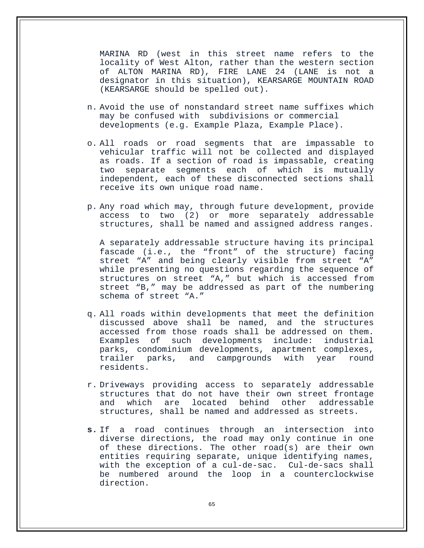MARINA RD (west in this street name refers to the locality of West Alton, rather than the western section of ALTON MARINA RD), FIRE LANE 24 (LANE is not a designator in this situation), KEARSARGE MOUNTAIN ROAD (KEARSARGE should be spelled out).

- n. Avoid the use of nonstandard street name suffixes which may be confused with subdivisions or commercial developments (e.g. Example Plaza, Example Place).
- o. All roads or road segments that are impassable to vehicular traffic will not be collected and displayed as roads. If a section of road is impassable, creating two separate segments each of which is mutually independent, each of these disconnected sections shall receive its own unique road name.
- p. Any road which may, through future development, provide access to two (2) or more separately addressable structures, shall be named and assigned address ranges.

A separately addressable structure having its principal fascade (i.e., the "front" of the structure) facing street "A" and being clearly visible from street "A" while presenting no questions regarding the sequence of structures on street "A," but which is accessed from street "B," may be addressed as part of the numbering schema of street "A."

- q. All roads within developments that meet the definition discussed above shall be named, and the structures accessed from those roads shall be addressed on them. Examples of such developments include: industrial parks, condominium developments, apartment complexes, trailer parks, and campgrounds with year round residents.
- r. Driveways providing access to separately addressable structures that do not have their own street frontage<br>and which are located behind other addressable addressable structures, shall be named and addressed as streets.
- **s.** If a road continues through an intersection into diverse directions, the road may only continue in one of these directions. The other road(s) are their own entities requiring separate, unique identifying names, with the exception of a cul-de-sac. Cul-de-sacs shall be numbered around the loop in a counterclockwise direction.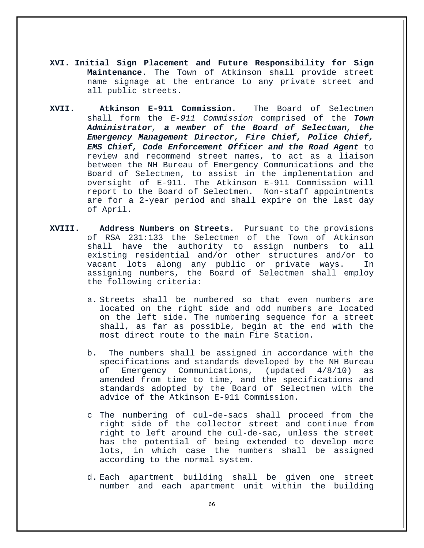- **XVI. Initial Sign Placement and Future Responsibility for Sign Maintenance.** The Town of Atkinson shall provide street name signage at the entrance to any private street and all public streets.
- **XVII. Atkinson E-911 Commission.** The Board of Selectmen shall form the *E-911 Commission* comprised of the *Town Administrator, a member of the Board of Selectman, the Emergency Management Director, Fire Chief, Police Chief, EMS Chief, Code Enforcement Officer and the Road Agent* to review and recommend street names, to act as a liaison between the NH Bureau of Emergency Communications and the Board of Selectmen, to assist in the implementation and oversight of E-911. The Atkinson E-911 Commission will report to the Board of Selectmen. Non-staff appointments are for a 2-year period and shall expire on the last day of April.
- **XVIII. Address Numbers on Streets.** Pursuant to the provisions of RSA 231:133 the Selectmen of the Town of Atkinson shall have the authority to assign numbers to all existing residential and/or other structures and/or to vacant lots along any public or private ways. In assigning numbers, the Board of Selectmen shall employ the following criteria:
	- a. Streets shall be numbered so that even numbers are located on the right side and odd numbers are located on the left side. The numbering sequence for a street shall, as far as possible, begin at the end with the most direct route to the main Fire Station.
	- b. The numbers shall be assigned in accordance with the specifications and standards developed by the NH Bureau of Emergency Communications, (updated 4/8/10) as amended from time to time, and the specifications and standards adopted by the Board of Selectmen with the advice of the Atkinson E-911 Commission.
	- c The numbering of cul-de-sacs shall proceed from the right side of the collector street and continue from right to left around the cul-de-sac, unless the street has the potential of being extended to develop more lots, in which case the numbers shall be assigned according to the normal system.
	- d. Each apartment building shall be given one street number and each apartment unit within the building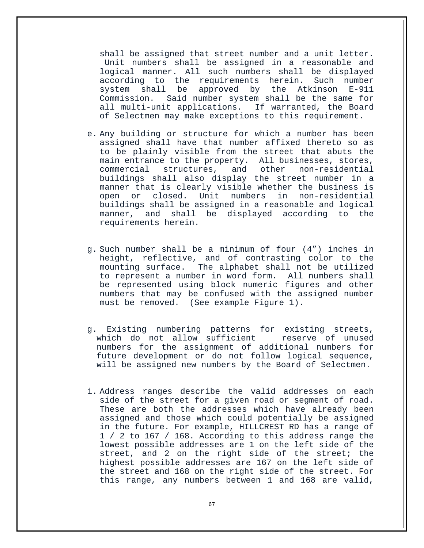shall be assigned that street number and a unit letter. Unit numbers shall be assigned in a reasonable and logical manner. All such numbers shall be displayed according to the requirements herein. Such number<br>system shall be approved by the Atkinson E-911 system shall be approved by the Atkinson<br>Commission. Said-number-system-shall-be-the-sam Said number system shall be the same for all multi-unit applications. If warranted, the Board of Selectmen may make exceptions to this requirement.

- e. Any building or structure for which a number has been assigned shall have that number affixed thereto so as to be plainly visible from the street that abuts the main entrance to the property. All businesses, stores,<br>commercial structures, and other non-residential commercial structures, buildings shall also display the street number in a manner that is clearly visible whether the business is open or closed. Unit numbers in non-residential buildings shall be assigned in a reasonable and logical manner, and shall be displayed according to requirements herein.
- g. Such number shall be a minimum of four (4") inches in height, reflective, and of contrasting color to the mounting surface. The alphabet shall not be utilized to represent a number in word form. All numbers shall be represented using block numeric figures and other numbers that may be confused with the assigned number must be removed. (See example Figure 1).
- g. Existing numbering patterns for existing streets, which do not allow sufficient numbers for the assignment of additional numbers for future development or do not follow logical sequence, will be assigned new numbers by the Board of Selectmen.
- i. Address ranges describe the valid addresses on each side of the street for a given road or segment of road. These are both the addresses which have already been assigned and those which could potentially be assigned in the future. For example, HILLCREST RD has a range of 1 / 2 to 167 / 168. According to this address range the lowest possible addresses are 1 on the left side of the street, and 2 on the right side of the street; the highest possible addresses are 167 on the left side of the street and 168 on the right side of the street. For this range, any numbers between 1 and 168 are valid,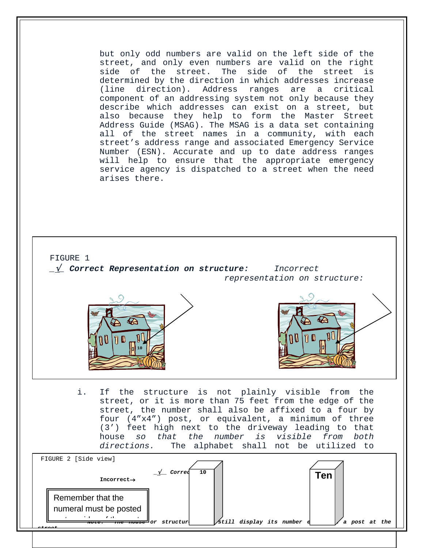but only odd numbers are valid on the left side of the street, and only even numbers are valid on the right side of the street. The side of the street is determined by the direction in which addresses increase (line direction). Address ranges are a critical component of an addressing system not only because they describe which addresses can exist on a street, but also because they help to form the Master Street Address Guide (MSAG). The MSAG is a data set containing all of the street names in a community, with each street's address range and associated Emergency Service Number (ESN). Accurate and up to date address ranges will help to ensure that the appropriate emergency service agency is dispatched to a street when the need arises there.



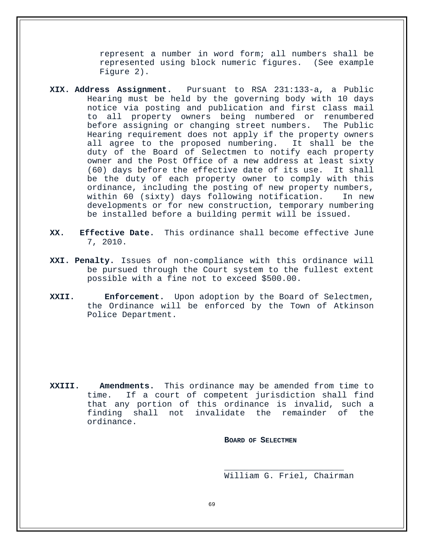represent a number in word form; all numbers shall be represented using block numeric figures. (See example Figure 2).

- **XIX. Address Assignment.** Pursuant to RSA 231:133-a, a Public Hearing must be held by the governing body with 10 days notice via posting and publication and first class mail all property owners being numbered or renumbered before assigning or changing street numbers. The Public Hearing requirement does not apply if the property owners<br>all agree to the proposed numbering. It shall be the all agree to the proposed numbering. duty of the Board of Selectmen to notify each property owner and the Post Office of a new address at least sixty (60) days before the effective date of its use. It shall be the duty of each property owner to comply with this ordinance, including the posting of new property numbers,<br>within 60 (sixty) days following notification. In new within 60 (sixty) days following notification. developments or for new construction, temporary numbering be installed before a building permit will be issued.
- **XX. Effective Date.** This ordinance shall become effective June 7, 2010.
- **XXI. Penalty.** Issues of non-compliance with this ordinance will be pursued through the Court system to the fullest extent possible with a fine not to exceed \$500.00.
- **XXII. Enforcement.** Upon adoption by the Board of Selectmen, the Ordinance will be enforced by the Town of Atkinson Police Department.

**XXIII. Amendments.** This ordinance may be amended from time to time. If a court of competent jurisdiction shall find that any portion of this ordinance is invalid, such a finding shall not invalidate the remainder of ordinance.

**BOARD OF SELECTMEN**

\_\_\_\_\_\_\_\_\_\_\_\_\_\_\_\_\_\_\_\_\_\_\_\_ William G. Friel, Chairman